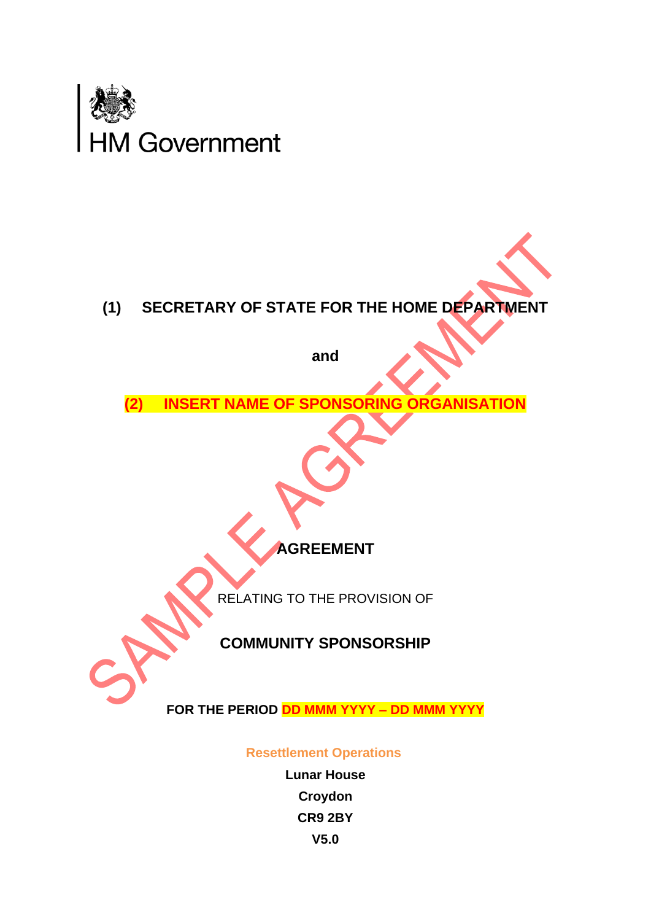



**and**

**(2) INSERT NAME OF SPONSORING ORGANISATION**

**AGREEMENT**

RELATING TO THE PROVISION OF

## **COMMUNITY SPONSORSHIP**

**FOR THE PERIOD DD MMM YYYY – DD MMM YYYY**

 **Resettlement Operations**

**Lunar House Croydon CR9 2BY V5.0**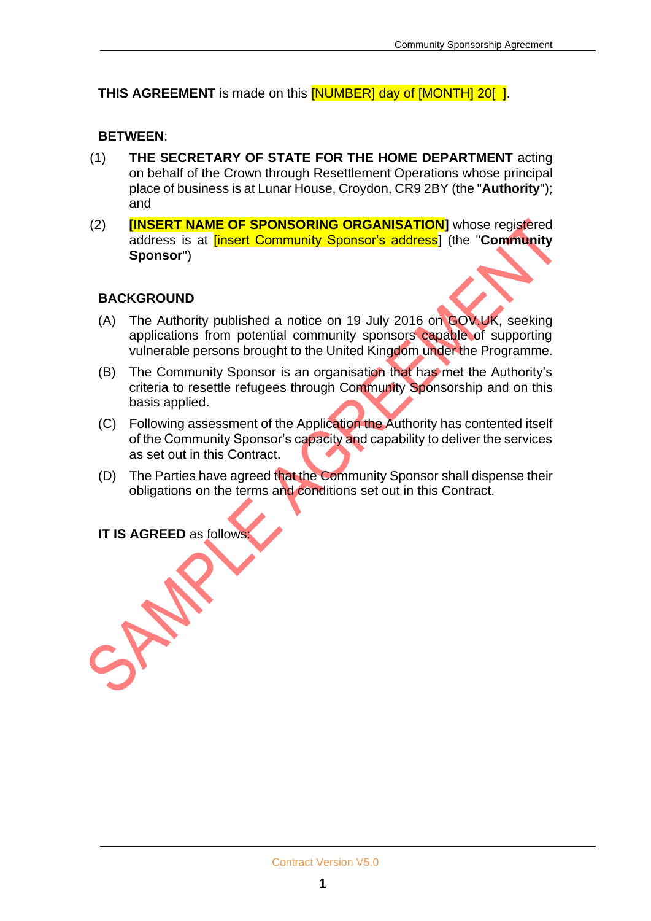#### **THIS AGREEMENT** is made on this **[NUMBER]** day of **[MONTH]** 20**[1]**.

#### **BETWEEN**:

- (1) **THE SECRETARY OF STATE FOR THE HOME DEPARTMENT** acting on behalf of the Crown through Resettlement Operations whose principal place of business is at Lunar House, Croydon, CR9 2BY (the "**Authority**"); and
- (2) **[INSERT NAME OF SPONSORING ORGANISATION]** whose registered address is at [insert Community Sponsor's address] (the "**Community Sponsor**")

#### **BACKGROUND**

- (A) The Authority published a notice on 19 July 2016 on GOV.UK, seeking applications from potential community sponsors capable of supporting vulnerable persons brought to the United Kingdom under the Programme.
- (B) The Community Sponsor is an organisation that has met the Authority's criteria to resettle refugees through Community Sponsorship and on this basis applied.
- (C) Following assessment of the Application the Authority has contented itself of the Community Sponsor's capacity and capability to deliver the services as set out in this Contract.
- (D) The Parties have agreed that the Community Sponsor shall dispense their obligations on the terms and conditions set out in this Contract.

**IT IS AGREED** as follows: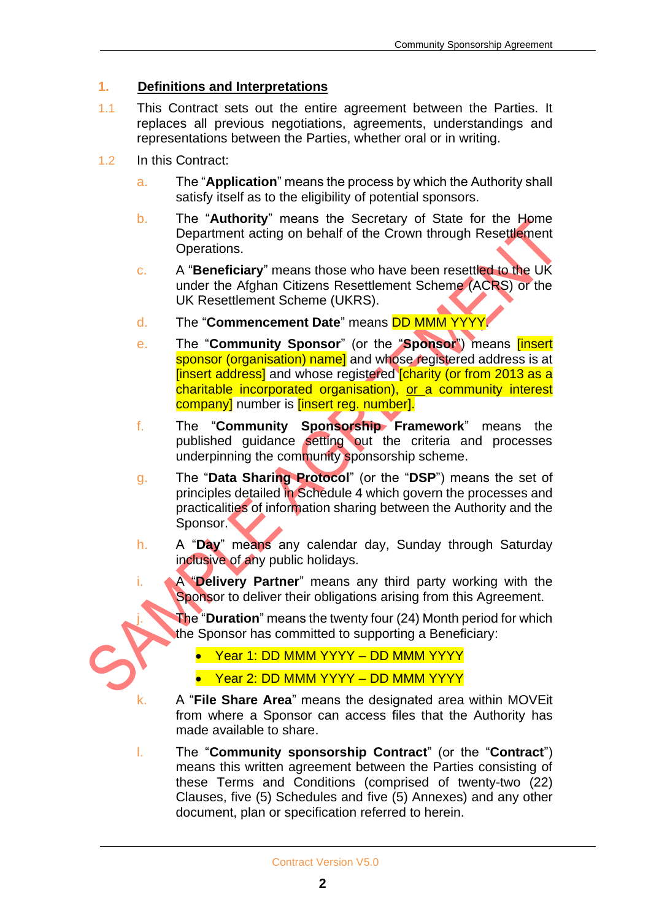#### **1. Definitions and Interpretations**

- 1.1 This Contract sets out the entire agreement between the Parties. It replaces all previous negotiations, agreements, understandings and representations between the Parties, whether oral or in writing.
- 1.2 In this Contract:
	- a. The "**Application**" means the process by which the Authority shall satisfy itself as to the eligibility of potential sponsors.
	- b. The "**Authority**" means the Secretary of State for the Home Department acting on behalf of the Crown through Resettlement Operations.
	- c. A "**Beneficiary**" means those who have been resettled to the UK under the Afghan Citizens Resettlement Scheme (ACRS) or the UK Resettlement Scheme (UKRS).
	- d. The "**Commencement Date**" means DD MMM YYYY.
	- e. The "**Community Sponsor**" (or the "**Sponsor**") means [insert sponsor (organisation) name] and whose registered address is at [insert address] and whose registered [charity (or from 2013 as a charitable incorporated organisation), or a community interest company] number is *[insert reg. number].*
	- f. The "**Community Sponsorship Framework**" means the published guidance setting out the criteria and processes underpinning the community sponsorship scheme.
	- g. The "**Data Sharing Protocol**" (or the "**DSP**") means the set of principles detailed in Schedule 4 which govern the processes and practicalities of information sharing between the Authority and the Sponsor.
	- h. A "**Day**" means any calendar day, Sunday through Saturday inclusive of any public holidays.
	- i. A "**Delivery Partner**" means any third party working with the Sponsor to deliver their obligations arising from this Agreement.

**The "Duration**" means the twenty four (24) Month period for which the Sponsor has committed to supporting a Beneficiary:

- Year 1: DD MMM YYYY DD MMM YYYY
- Year 2: DD MMM YYYY DD MMM YYYY
- k. A "**File Share Area**" means the designated area within MOVEit from where a Sponsor can access files that the Authority has made available to share.
- l. The "**Community sponsorship Contract**" (or the "**Contract**") means this written agreement between the Parties consisting of these Terms and Conditions (comprised of twenty-two (22) Clauses, five (5) Schedules and five (5) Annexes) and any other document, plan or specification referred to herein.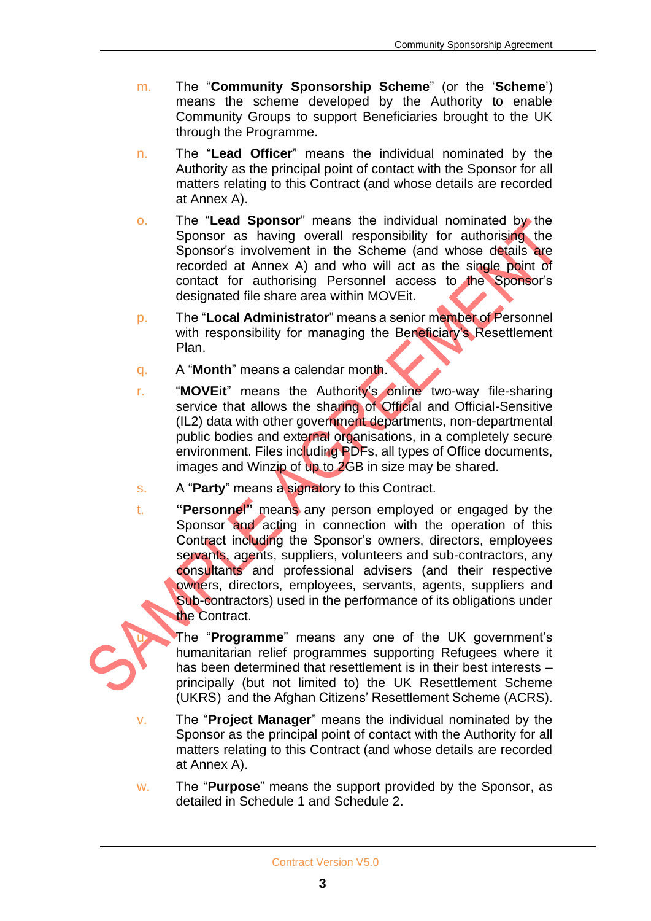- m. The "**Community Sponsorship Scheme**" (or the '**Scheme**') means the scheme developed by the Authority to enable Community Groups to support Beneficiaries brought to the UK through the Programme.
- n. The "**Lead Officer**" means the individual nominated by the Authority as the principal point of contact with the Sponsor for all matters relating to this Contract (and whose details are recorded at Annex A).
- o. The "**Lead Sponsor**" means the individual nominated by the Sponsor as having overall responsibility for authorising the Sponsor's involvement in the Scheme (and whose details are recorded at Annex A) and who will act as the single point of contact for authorising Personnel access to the Sponsor's designated file share area within MOVEit.
- p. The "**Local Administrator**" means a senior member of Personnel with responsibility for managing the Beneficiary's Resettlement Plan.
- q. A "**Month**" means a calendar month.
- r. "**MOVEit**" means the Authority's online two-way file-sharing service that allows the sharing of Official and Official-Sensitive (IL2) data with other government departments, non-departmental public bodies and external organisations, in a completely secure environment. Files including PDFs, all types of Office documents, images and Winzip of up to 2GB in size may be shared.
- s. A "**Party**" means a signatory to this Contract.
- t. **"Personnel"** means any person employed or engaged by the Sponsor and acting in connection with the operation of this Contract including the Sponsor's owners, directors, employees servants, agents, suppliers, volunteers and sub-contractors, any consultants and professional advisers (and their respective owners, directors, employees, servants, agents, suppliers and Sub-contractors) used in the performance of its obligations under the Contract.

The "**Programme**" means any one of the UK government's humanitarian relief programmes supporting Refugees where it has been determined that resettlement is in their best interests principally (but not limited to) the UK Resettlement Scheme (UKRS) and the Afghan Citizens' Resettlement Scheme (ACRS).

- v. The "**Project Manager**" means the individual nominated by the Sponsor as the principal point of contact with the Authority for all matters relating to this Contract (and whose details are recorded at Annex A).
- w. The "**Purpose**" means the support provided by the Sponsor, as detailed in Schedule 1 and Schedule 2.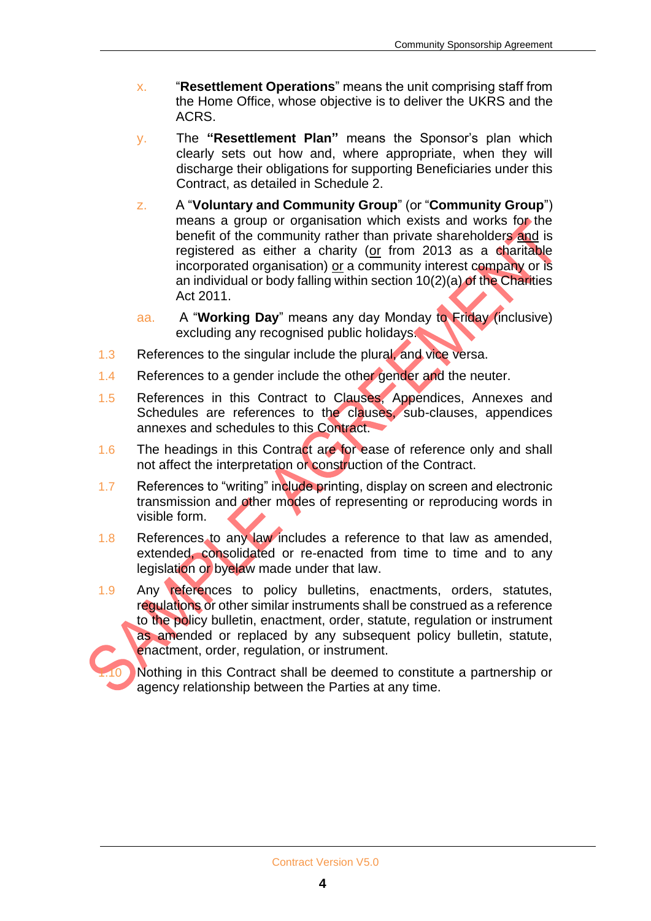- x. "**Resettlement Operations**" means the unit comprising staff from the Home Office, whose objective is to deliver the UKRS and the ACRS.
- y. The **"Resettlement Plan"** means the Sponsor's plan which clearly sets out how and, where appropriate, when they will discharge their obligations for supporting Beneficiaries under this Contract, as detailed in Schedule 2.
- z. A "**Voluntary and Community Group**" (or "**Community Group**") means a group or organisation which exists and works for the benefit of the community rather than private shareholders and is registered as either a charity (or from 2013 as a charitable incorporated organisation) or a community interest company or is an individual or body falling within section  $10(2)(a)$  of the Charities Act 2011.
- aa. A "**Working Day**" means any day Monday to Friday (inclusive) excluding any recognised public holidays.
- 1.3 References to the singular include the plural, and vice versa.
- 1.4 References to a gender include the other gender and the neuter.
- 1.5 References in this Contract to Clauses, Appendices, Annexes and Schedules are references to the clauses, sub-clauses, appendices annexes and schedules to this Contract.
- 1.6 The headings in this Contract are for ease of reference only and shall not affect the interpretation or construction of the Contract.
- 1.7 References to "writing" include printing, display on screen and electronic transmission and other modes of representing or reproducing words in visible form.
- 1.8 References to any law includes a reference to that law as amended, extended, consolidated or re-enacted from time to time and to any legislation or byelaw made under that law.
- 1.9 Any references to policy bulletins, enactments, orders, statutes, regulations or other similar instruments shall be construed as a reference to the policy bulletin, enactment, order, statute, regulation or instrument as amended or replaced by any subsequent policy bulletin, statute, enactment, order, regulation, or instrument.

Nothing in this Contract shall be deemed to constitute a partnership or agency relationship between the Parties at any time.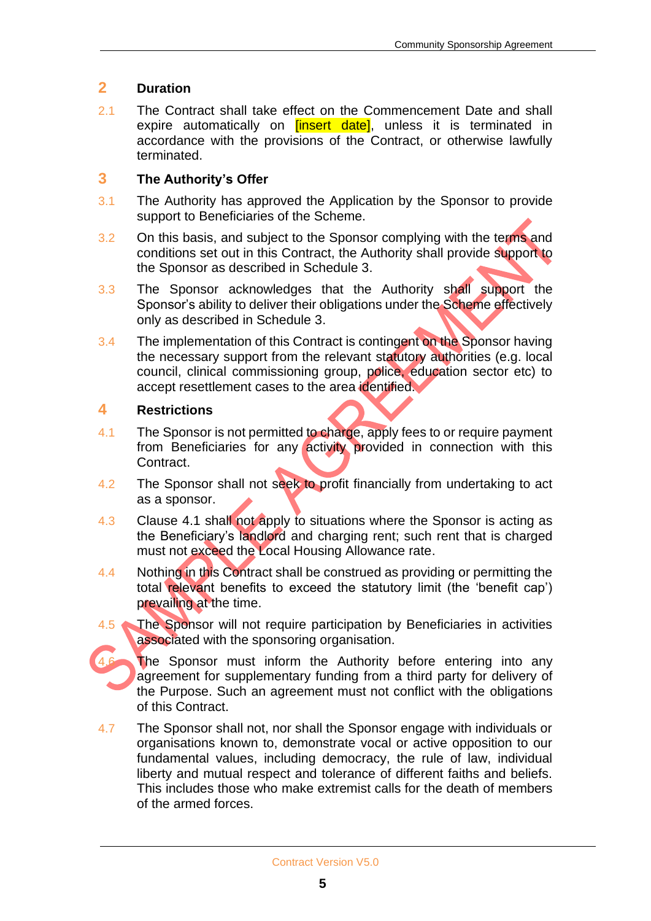#### **2 Duration**

2.1 The Contract shall take effect on the Commencement Date and shall expire automatically on **[insert date]**, unless it is terminated in accordance with the provisions of the Contract, or otherwise lawfully terminated.

#### **3 The Authority's Offer**

- 3.1 The Authority has approved the Application by the Sponsor to provide support to Beneficiaries of the Scheme.
- 3.2 On this basis, and subject to the Sponsor complying with the terms and conditions set out in this Contract, the Authority shall provide support to the Sponsor as described in Schedule 3.
- 3.3 The Sponsor acknowledges that the Authority shall support the Sponsor's ability to deliver their obligations under the Scheme effectively only as described in Schedule 3.
- 3.4 The implementation of this Contract is contingent on the Sponsor having the necessary support from the relevant statutory authorities (e.g. local council, clinical commissioning group, police, education sector etc) to accept resettlement cases to the area identified.

#### **4 Restrictions**

- 4.1 The Sponsor is not permitted to charge, apply fees to or require payment from Beneficiaries for any activity provided in connection with this Contract.
- 4.2 The Sponsor shall not seek to profit financially from undertaking to act as a sponsor.
- 4.3 Clause 4.1 shall not apply to situations where the Sponsor is acting as the Beneficiary's landlord and charging rent; such rent that is charged must not exceed the Local Housing Allowance rate.
- 4.4 Nothing in this Contract shall be construed as providing or permitting the total relevant benefits to exceed the statutory limit (the 'benefit cap') prevailing at the time.
- 4.5 The Sponsor will not require participation by Beneficiaries in activities associated with the sponsoring organisation.

The Sponsor must inform the Authority before entering into any agreement for supplementary funding from a third party for delivery of the Purpose. Such an agreement must not conflict with the obligations of this Contract.

4.7 The Sponsor shall not, nor shall the Sponsor engage with individuals or organisations known to, demonstrate vocal or active opposition to our fundamental values, including democracy, the rule of law, individual liberty and mutual respect and tolerance of different faiths and beliefs. This includes those who make extremist calls for the death of members of the armed forces.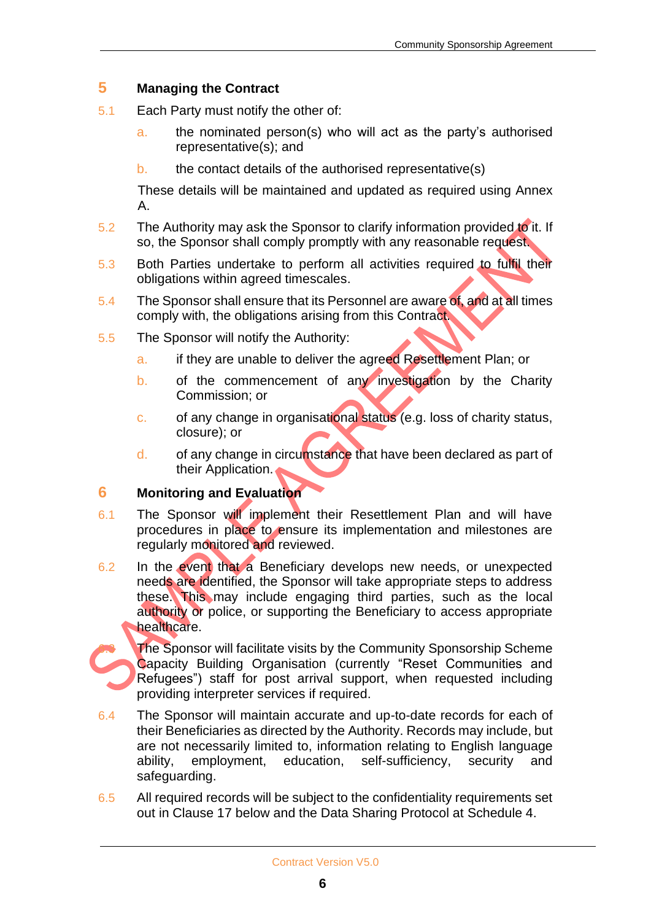#### **5 Managing the Contract**

- 5.1 Each Party must notify the other of:
	- a. the nominated person(s) who will act as the party's authorised representative(s); and
	- b. the contact details of the authorised representative(s)

These details will be maintained and updated as required using Annex  $A<sub>1</sub>$ 

- 5.2 The Authority may ask the Sponsor to clarify information provided to it. If so, the Sponsor shall comply promptly with any reasonable request.
- 5.3 Both Parties undertake to perform all activities required to fulfil their obligations within agreed timescales.
- 5.4 The Sponsor shall ensure that its Personnel are aware of, and at all times comply with, the obligations arising from this Contract.
- 5.5 The Sponsor will notify the Authority:
	- a. if they are unable to deliver the agreed Resettlement Plan; or
	- b. of the commencement of any investigation by the Charity Commission; or
	- c. of any change in organisational status (e.g. loss of charity status, closure); or
	- d. of any change in circumstance that have been declared as part of their Application.

#### **6 Monitoring and Evaluation**

- 6.1 The Sponsor will implement their Resettlement Plan and will have procedures in place to ensure its implementation and milestones are regularly monitored and reviewed.
- 6.2 In the event that a Beneficiary develops new needs, or unexpected needs are identified, the Sponsor will take appropriate steps to address these. This may include engaging third parties, such as the local authority or police, or supporting the Beneficiary to access appropriate healthcare.

The Sponsor will facilitate visits by the Community Sponsorship Scheme Capacity Building Organisation (currently "Reset Communities and Refugees") staff for post arrival support, when requested including providing interpreter services if required.

- 6.4 The Sponsor will maintain accurate and up-to-date records for each of their Beneficiaries as directed by the Authority. Records may include, but are not necessarily limited to, information relating to English language ability, employment, education, self-sufficiency, security and safeguarding.
- 6.5 All required records will be subject to the confidentiality requirements set out in Clause 17 below and the Data Sharing Protocol at Schedule 4.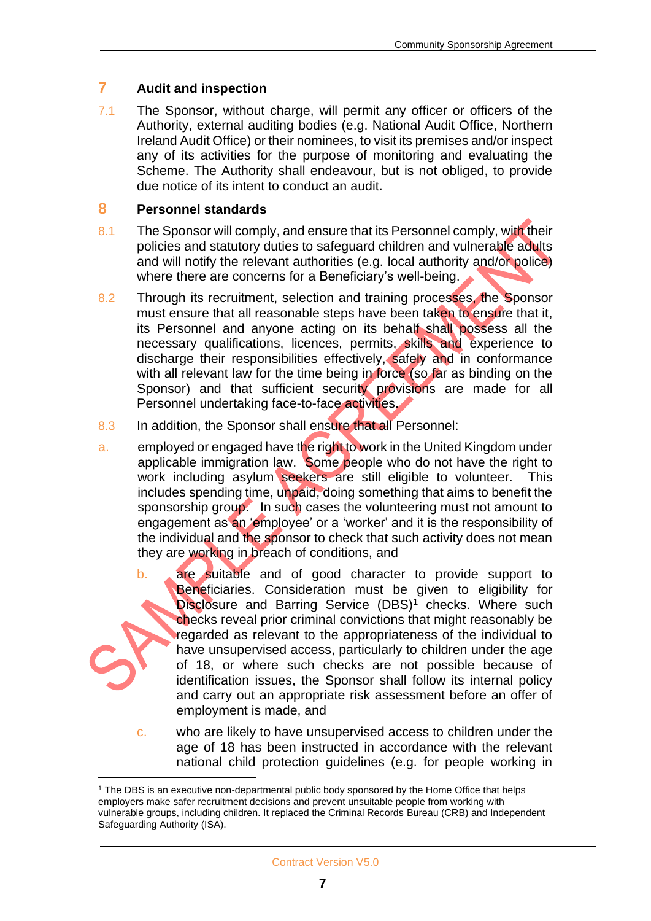#### **7 Audit and inspection**

7.1 The Sponsor, without charge, will permit any officer or officers of the Authority, external auditing bodies (e.g. National Audit Office, Northern Ireland Audit Office) or their nominees, to visit its premises and/or inspect any of its activities for the purpose of monitoring and evaluating the Scheme. The Authority shall endeavour, but is not obliged, to provide due notice of its intent to conduct an audit.

#### **8 Personnel standards**

- 8.1 The Sponsor will comply, and ensure that its Personnel comply, with their policies and statutory duties to safeguard children and vulnerable adults and will notify the relevant authorities (e.g. local authority and/or police) where there are concerns for a Beneficiary's well-being.
- 8.2 Through its recruitment, selection and training processes, the Sponsor must ensure that all reasonable steps have been taken to ensure that it, its Personnel and anyone acting on its behalf shall possess all the necessary qualifications, licences, permits, skills and experience to discharge their responsibilities effectively, safely and in conformance with all relevant law for the time being in force (so far as binding on the Sponsor) and that sufficient security provisions are made for all Personnel undertaking face-to-face activities.
- 8.3 In addition, the Sponsor shall ensure that all Personnel:
- a. employed or engaged have the right to work in the United Kingdom under applicable immigration law. Some people who do not have the right to work including asylum seekers are still eligible to volunteer. This includes spending time, unpaid, doing something that aims to benefit the sponsorship group. In such cases the volunteering must not amount to engagement as an 'employee' or a 'worker' and it is the responsibility of the individual and the sponsor to check that such activity does not mean they are working in breach of conditions, and
	- b. are suitable and of good character to provide support to Beneficiaries. Consideration must be given to eligibility for Disclosure and Barring Service (DBS)<sup>1</sup> checks. Where such checks reveal prior criminal convictions that might reasonably be regarded as relevant to the appropriateness of the individual to have unsupervised access, particularly to children under the age of 18, or where such checks are not possible because of identification issues, the Sponsor shall follow its internal policy and carry out an appropriate risk assessment before an offer of employment is made, and
	- c. who are likely to have unsupervised access to children under the age of 18 has been instructed in accordance with the relevant national child protection guidelines (e.g. for people working in

<sup>1</sup> The DBS is an executive non-departmental public body sponsored by the Home Office that helps employers make safer recruitment decisions and prevent unsuitable people from working with vulnerable groups, including children. It replaced the Criminal Records Bureau (CRB) and Independent Safeguarding Authority (ISA).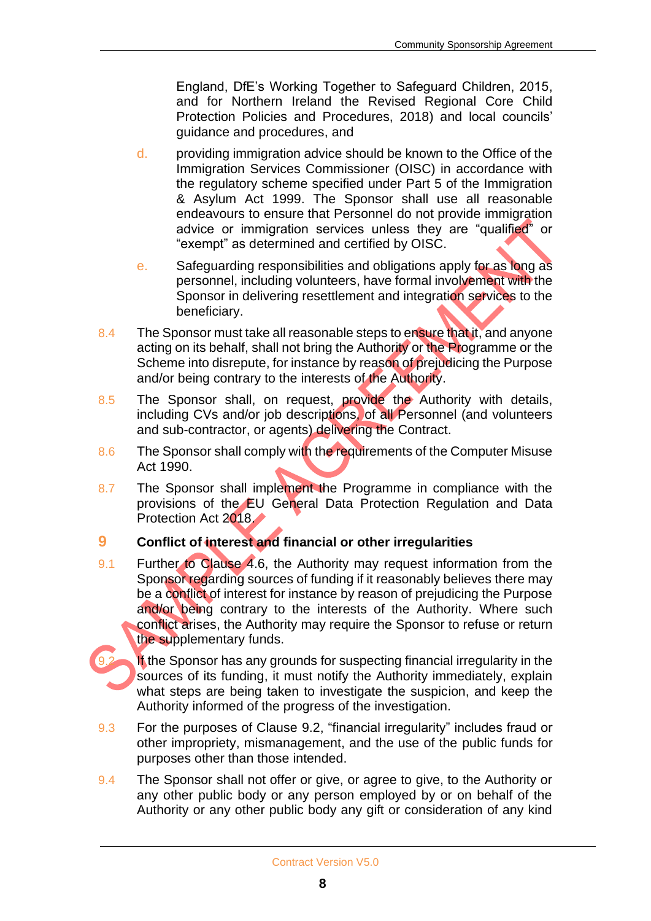England, DfE's Working Together to Safeguard Children, 2015, and for Northern Ireland the Revised Regional Core Child Protection Policies and Procedures, 2018) and local councils' guidance and procedures, and

- d. providing immigration advice should be known to the Office of the Immigration Services Commissioner (OISC) in accordance with the regulatory scheme specified under Part 5 of the Immigration & Asylum Act 1999. The Sponsor shall use all reasonable endeavours to ensure that Personnel do not provide immigration advice or immigration services unless they are "qualified" or "exempt" as determined and certified by OISC.
- e. Safeguarding responsibilities and obligations apply for as long as personnel, including volunteers, have formal involvement with the Sponsor in delivering resettlement and integration services to the beneficiary.
- 8.4 The Sponsor must take all reasonable steps to ensure that it, and anyone acting on its behalf, shall not bring the Authority or the Programme or the Scheme into disrepute, for instance by reason of prejudicing the Purpose and/or being contrary to the interests of the Authority.
- 8.5 The Sponsor shall, on request, provide the Authority with details, including CVs and/or job descriptions, of all Personnel (and volunteers and sub-contractor, or agents) delivering the Contract.
- 8.6 The Sponsor shall comply with the requirements of the Computer Misuse Act 1990.
- 8.7 The Sponsor shall implement the Programme in compliance with the provisions of the EU General Data Protection Regulation and Data Protection Act 2018.

#### **9 Conflict of interest and financial or other irregularities**

9.1 Further to Clause 4.6, the Authority may request information from the Sponsor regarding sources of funding if it reasonably believes there may be a conflict of interest for instance by reason of prejudicing the Purpose and/or being contrary to the interests of the Authority. Where such conflict arises, the Authority may require the Sponsor to refuse or return the supplementary funds.

If the Sponsor has any grounds for suspecting financial irregularity in the sources of its funding, it must notify the Authority immediately, explain what steps are being taken to investigate the suspicion, and keep the Authority informed of the progress of the investigation.

- 9.3 For the purposes of Clause 9.2, "financial irregularity" includes fraud or other impropriety, mismanagement, and the use of the public funds for purposes other than those intended.
- 9.4 The Sponsor shall not offer or give, or agree to give, to the Authority or any other public body or any person employed by or on behalf of the Authority or any other public body any gift or consideration of any kind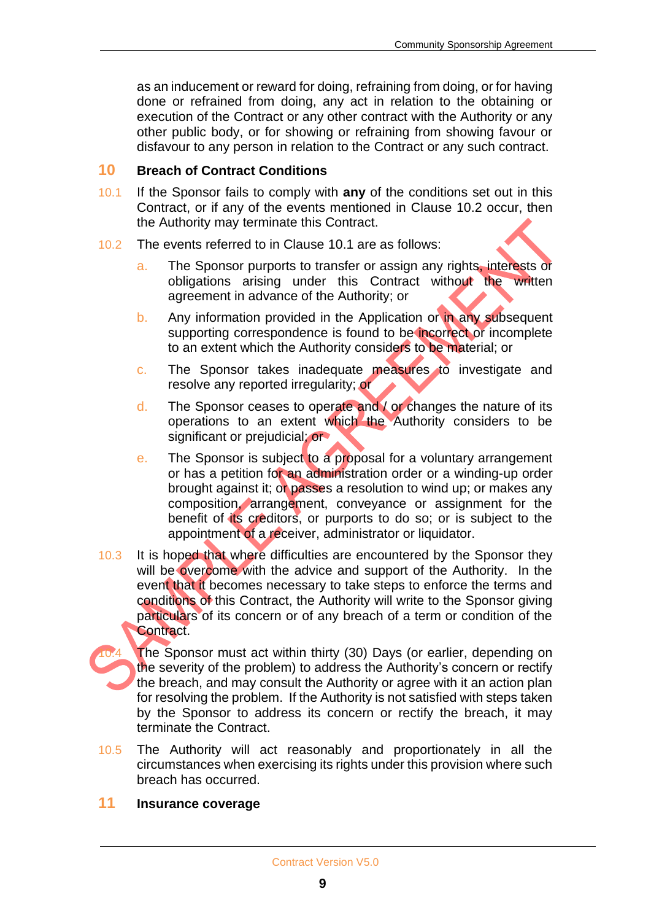as an inducement or reward for doing, refraining from doing, or for having done or refrained from doing, any act in relation to the obtaining or execution of the Contract or any other contract with the Authority or any other public body, or for showing or refraining from showing favour or disfavour to any person in relation to the Contract or any such contract.

#### **10 Breach of Contract Conditions**

- 10.1 If the Sponsor fails to comply with **any** of the conditions set out in this Contract, or if any of the events mentioned in Clause 10.2 occur, then the Authority may terminate this Contract.
- 10.2 The events referred to in Clause 10.1 are as follows:
	- a. The Sponsor purports to transfer or assign any rights, interests or obligations arising under this Contract without the written agreement in advance of the Authority; or
	- b. Any information provided in the Application or in any subsequent supporting correspondence is found to be incorrect or incomplete to an extent which the Authority considers to be material; or
	- c. The Sponsor takes inadequate measures to investigate and resolve any reported irregularity; or
	- d. The Sponsor ceases to operate and / or changes the nature of its operations to an extent which the Authority considers to be significant or prejudicial; or
	- e. The Sponsor is subject to a proposal for a voluntary arrangement or has a petition for an administration order or a winding-up order brought against it; or passes a resolution to wind up; or makes any composition, arrangement, conveyance or assignment for the benefit of its creditors, or purports to do so; or is subject to the appointment of a receiver, administrator or liquidator.
- 10.3 It is hoped that where difficulties are encountered by the Sponsor they will be overcome with the advice and support of the Authority. In the event that it becomes necessary to take steps to enforce the terms and conditions of this Contract, the Authority will write to the Sponsor giving particulars of its concern or of any breach of a term or condition of the Contract.

The Sponsor must act within thirty (30) Days (or earlier, depending on the severity of the problem) to address the Authority's concern or rectify the breach, and may consult the Authority or agree with it an action plan for resolving the problem. If the Authority is not satisfied with steps taken by the Sponsor to address its concern or rectify the breach, it may terminate the Contract.

10.5 The Authority will act reasonably and proportionately in all the circumstances when exercising its rights under this provision where such breach has occurred.

#### **11 Insurance coverage**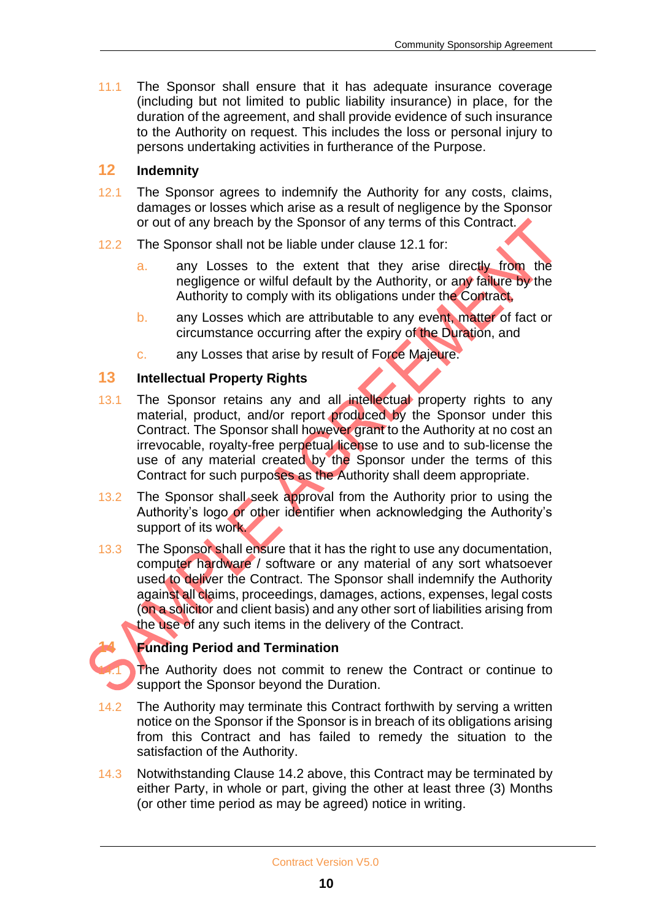11.1 The Sponsor shall ensure that it has adequate insurance coverage (including but not limited to public liability insurance) in place, for the duration of the agreement, and shall provide evidence of such insurance to the Authority on request. This includes the loss or personal injury to persons undertaking activities in furtherance of the Purpose.

#### **12 Indemnity**

- 12.1 The Sponsor agrees to indemnify the Authority for any costs, claims, damages or losses which arise as a result of negligence by the Sponsor or out of any breach by the Sponsor of any terms of this Contract.
- 12.2 The Sponsor shall not be liable under clause 12.1 for:
	- a. any Losses to the extent that they arise directly from the negligence or wilful default by the Authority, or any failure by the Authority to comply with its obligations under the Contract,
	- b. any Losses which are attributable to any event, matter of fact or circumstance occurring after the expiry of the Duration, and
	- c. any Losses that arise by result of Force Majeure.

#### **13 Intellectual Property Rights**

- 13.1 The Sponsor retains any and all intellectual property rights to any material, product, and/or report produced by the Sponsor under this Contract. The Sponsor shall however grant to the Authority at no cost an irrevocable, royalty-free perpetual license to use and to sub-license the use of any material created by the Sponsor under the terms of this Contract for such purposes as the Authority shall deem appropriate.
- 13.2 The Sponsor shall seek approval from the Authority prior to using the Authority's logo or other identifier when acknowledging the Authority's support of its work.
- 13.3 The Sponsor shall ensure that it has the right to use any documentation, computer hardware / software or any material of any sort whatsoever used to deliver the Contract. The Sponsor shall indemnify the Authority against all claims, proceedings, damages, actions, expenses, legal costs (on a solicitor and client basis) and any other sort of liabilities arising from the use of any such items in the delivery of the Contract.

#### **14 Funding Period and Termination**

The Authority does not commit to renew the Contract or continue to support the Sponsor beyond the Duration.

- 14.2 The Authority may terminate this Contract forthwith by serving a written notice on the Sponsor if the Sponsor is in breach of its obligations arising from this Contract and has failed to remedy the situation to the satisfaction of the Authority.
- 14.3 Notwithstanding Clause 14.2 above, this Contract may be terminated by either Party, in whole or part, giving the other at least three (3) Months (or other time period as may be agreed) notice in writing.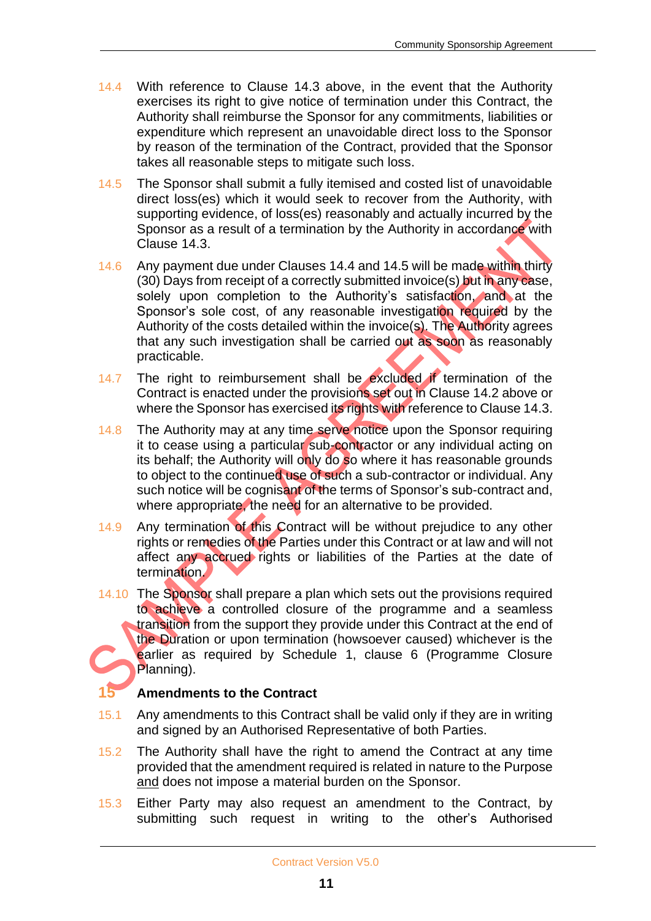- 14.4 With reference to Clause 14.3 above, in the event that the Authority exercises its right to give notice of termination under this Contract, the Authority shall reimburse the Sponsor for any commitments, liabilities or expenditure which represent an unavoidable direct loss to the Sponsor by reason of the termination of the Contract, provided that the Sponsor takes all reasonable steps to mitigate such loss.
- 14.5 The Sponsor shall submit a fully itemised and costed list of unavoidable direct loss(es) which it would seek to recover from the Authority, with supporting evidence, of loss(es) reasonably and actually incurred by the Sponsor as a result of a termination by the Authority in accordance with Clause 14.3.
- 14.6 Any payment due under Clauses 14.4 and 14.5 will be made within thirty (30) Days from receipt of a correctly submitted invoice(s) but in any case, solely upon completion to the Authority's satisfaction, and at the Sponsor's sole cost, of any reasonable investigation required by the Authority of the costs detailed within the invoice(s). The Authority agrees that any such investigation shall be carried out as soon as reasonably practicable.
- 14.7 The right to reimbursement shall be excluded if termination of the Contract is enacted under the provisions set out in Clause 14.2 above or where the Sponsor has exercised its rights with reference to Clause 14.3.
- 14.8 The Authority may at any time serve notice upon the Sponsor requiring it to cease using a particular sub-contractor or any individual acting on its behalf; the Authority will only do so where it has reasonable grounds to object to the continued use of such a sub-contractor or individual. Any such notice will be cognisant of the terms of Sponsor's sub-contract and, where appropriate, the need for an alternative to be provided.
- 14.9 Any termination of this Contract will be without prejudice to any other rights or remedies of the Parties under this Contract or at law and will not affect any accrued rights or liabilities of the Parties at the date of termination.
- 14.10 The Sponsor shall prepare a plan which sets out the provisions required to achieve a controlled closure of the programme and a seamless transition from the support they provide under this Contract at the end of the Duration or upon termination (howsoever caused) whichever is the earlier as required by Schedule 1, clause 6 (Programme Closure Planning).

#### **15 Amendments to the Contract**

- 15.1 Any amendments to this Contract shall be valid only if they are in writing and signed by an Authorised Representative of both Parties.
- 15.2 The Authority shall have the right to amend the Contract at any time provided that the amendment required is related in nature to the Purpose and does not impose a material burden on the Sponsor.
- 15.3 Either Party may also request an amendment to the Contract, by submitting such request in writing to the other's Authorised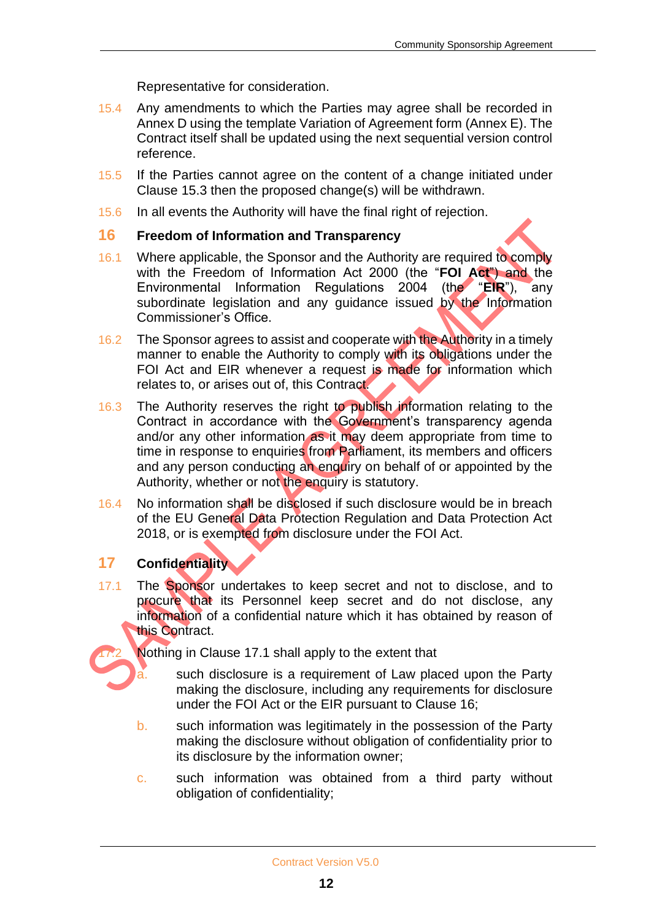Representative for consideration.

- 15.4 Any amendments to which the Parties may agree shall be recorded in Annex D using the template Variation of Agreement form (Annex E). The Contract itself shall be updated using the next sequential version control reference.
- 15.5 If the Parties cannot agree on the content of a change initiated under Clause 15.3 then the proposed change(s) will be withdrawn.
- 15.6 In all events the Authority will have the final right of rejection.

#### **16 Freedom of Information and Transparency**

- 16.1 Where applicable, the Sponsor and the Authority are required to comply with the Freedom of Information Act 2000 (the "**FOI Act**") and the Environmental Information Regulations 2004 (the "**EIR**"), any subordinate legislation and any guidance issued by the Information Commissioner's Office.
- 16.2 The Sponsor agrees to assist and cooperate with the Authority in a timely manner to enable the Authority to comply with its obligations under the FOI Act and EIR whenever a request is made for information which relates to, or arises out of, this Contract.
- 16.3 The Authority reserves the right to publish information relating to the Contract in accordance with the Government's transparency agenda and/or any other information as it may deem appropriate from time to time in response to enquiries from Parliament, its members and officers and any person conducting an enquiry on behalf of or appointed by the Authority, whether or not the enquiry is statutory.
- 16.4 No information shall be disclosed if such disclosure would be in breach of the EU General Data Protection Regulation and Data Protection Act 2018, or is exempted from disclosure under the FOI Act.

#### **17 Confidentiality**

17.1 The Sponsor undertakes to keep secret and not to disclose, and to procure that its Personnel keep secret and do not disclose, any information of a confidential nature which it has obtained by reason of this Contract.

Nothing in Clause 17.1 shall apply to the extent that

- such disclosure is a requirement of Law placed upon the Party making the disclosure, including any requirements for disclosure under the FOI Act or the EIR pursuant to Clause 16;
- b. such information was legitimately in the possession of the Party making the disclosure without obligation of confidentiality prior to its disclosure by the information owner;
- c. such information was obtained from a third party without obligation of confidentiality;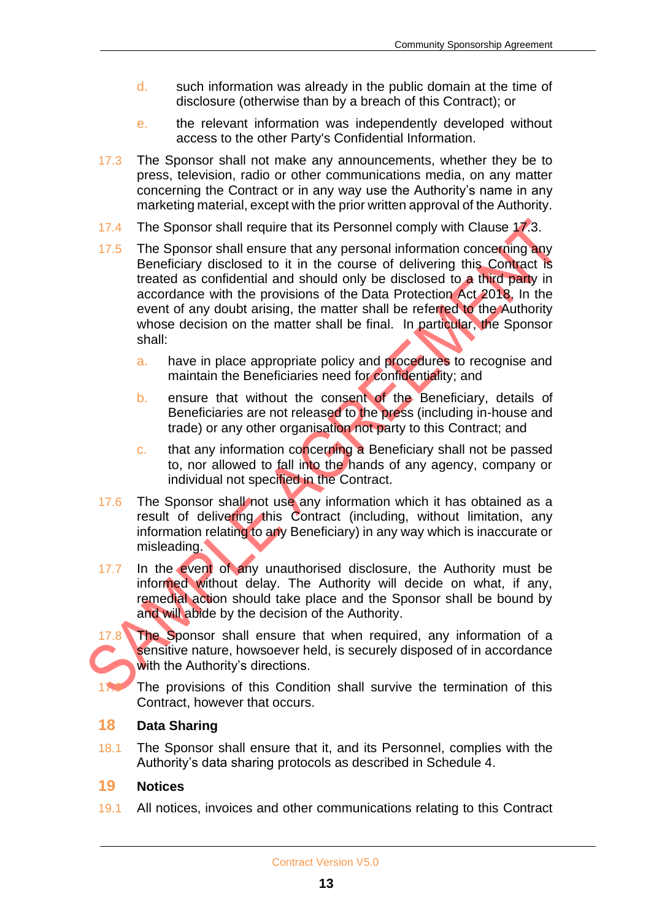- d. such information was already in the public domain at the time of disclosure (otherwise than by a breach of this Contract); or
- e. the relevant information was independently developed without access to the other Party's Confidential Information.
- 17.3 The Sponsor shall not make any announcements, whether they be to press, television, radio or other communications media, on any matter concerning the Contract or in any way use the Authority's name in any marketing material, except with the prior written approval of the Authority.
- 17.4 The Sponsor shall require that its Personnel comply with Clause 17.3.
- 17.5 The Sponsor shall ensure that any personal information concerning any Beneficiary disclosed to it in the course of delivering this Contract is treated as confidential and should only be disclosed to a third party in accordance with the provisions of the Data Protection Act 2018. In the event of any doubt arising, the matter shall be referred to the Authority whose decision on the matter shall be final. In particular, the Sponsor shall:
	- a. have in place appropriate policy and procedures to recognise and maintain the Beneficiaries need for confidentiality; and
	- b. ensure that without the consent of the Beneficiary, details of Beneficiaries are not released to the press (including in-house and trade) or any other organisation not party to this Contract; and
	- c. that any information concerning a Beneficiary shall not be passed to, nor allowed to fall into the hands of any agency, company or individual not specified in the Contract.
- 17.6 The Sponsor shall not use any information which it has obtained as a result of delivering this Contract (including, without limitation, any information relating to any Beneficiary) in any way which is inaccurate or misleading.
- 17.7 In the event of any unauthorised disclosure, the Authority must be informed without delay. The Authority will decide on what, if any, remedial action should take place and the Sponsor shall be bound by and will abide by the decision of the Authority.



17.8 The Sponsor shall ensure that when required, any information of a sensitive nature, howsoever held, is securely disposed of in accordance with the Authority's directions.

The provisions of this Condition shall survive the termination of this Contract, however that occurs.

#### **18 Data Sharing**

18.1 The Sponsor shall ensure that it, and its Personnel, complies with the Authority's data sharing protocols as described in Schedule 4.

#### **19 Notices**

19.1 All notices, invoices and other communications relating to this Contract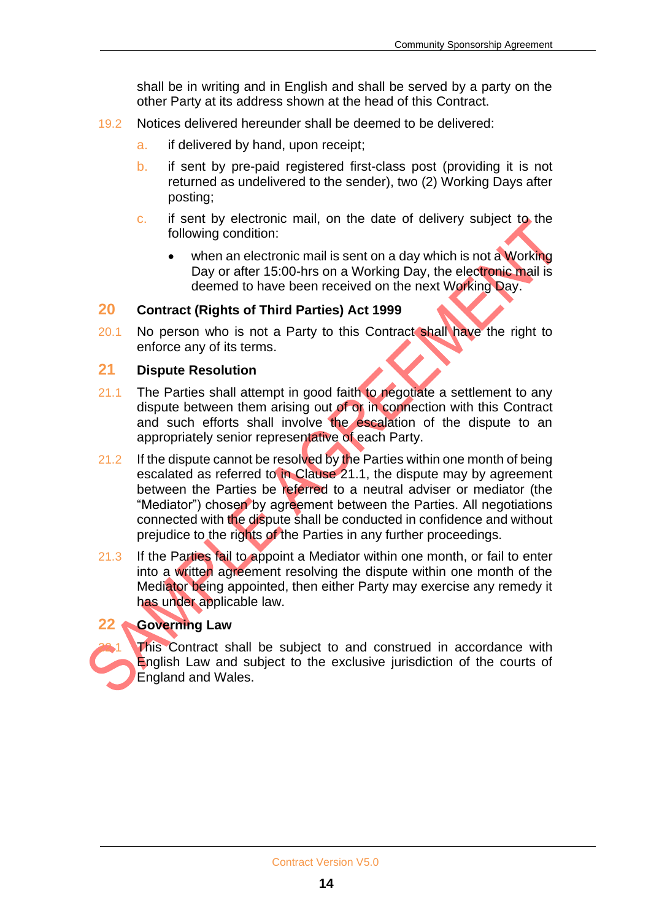shall be in writing and in English and shall be served by a party on the other Party at its address shown at the head of this Contract.

- 19.2 Notices delivered hereunder shall be deemed to be delivered:
	- a. if delivered by hand, upon receipt;
	- b. if sent by pre-paid registered first-class post (providing it is not returned as undelivered to the sender), two (2) Working Days after posting;
	- c. if sent by electronic mail, on the date of delivery subject to the following condition:
		- when an electronic mail is sent on a day which is not a Working Day or after 15:00-hrs on a Working Day, the electronic mail is deemed to have been received on the next Working Day.

#### **20 Contract (Rights of Third Parties) Act 1999**

20.1 No person who is not a Party to this Contract shall have the right to enforce any of its terms.

#### **21 Dispute Resolution**

- 21.1 The Parties shall attempt in good faith to negotiate a settlement to any dispute between them arising out of or in connection with this Contract and such efforts shall involve the escalation of the dispute to an appropriately senior representative of each Party.
- 21.2 If the dispute cannot be resolved by the Parties within one month of being escalated as referred to in Clause 21.1, the dispute may by agreement between the Parties be referred to a neutral adviser or mediator (the "Mediator") chosen by agreement between the Parties. All negotiations connected with the dispute shall be conducted in confidence and without prejudice to the rights of the Parties in any further proceedings.
- 21.3 If the Parties fail to appoint a Mediator within one month, or fail to enter into a written agreement resolving the dispute within one month of the Mediator being appointed, then either Party may exercise any remedy it has under applicable law.

#### **22 Governing Law**

This Contract shall be subject to and construed in accordance with English Law and subject to the exclusive jurisdiction of the courts of England and Wales.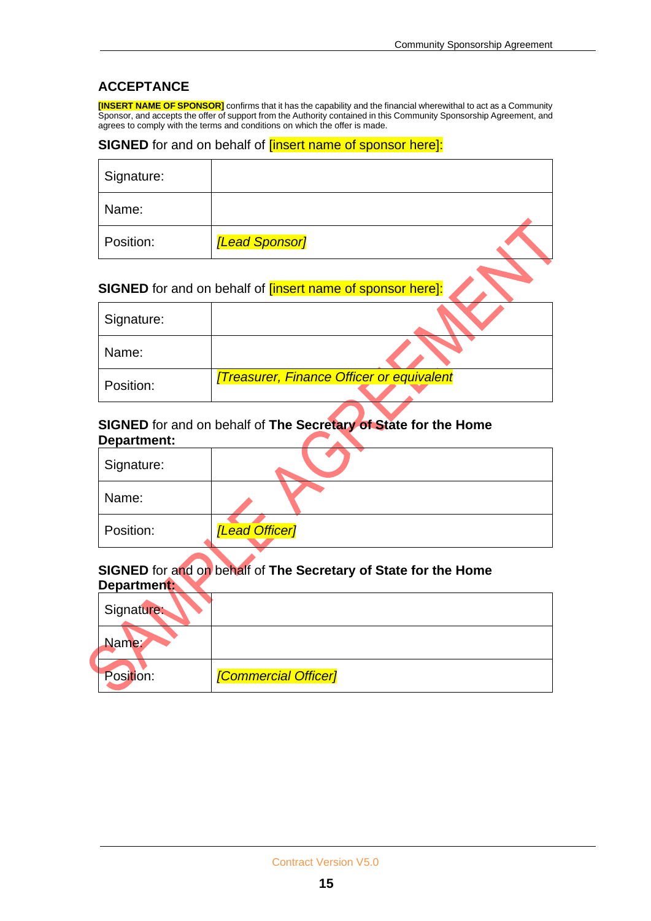#### **ACCEPTANCE**

**[INSERT NAME OF SPONSOR]** confirms that it has the capability and the financial wherewithal to act as a Community Sponsor, and accepts the offer of support from the Authority contained in this Community Sponsorship Agreement, and agrees to comply with the terms and conditions on which the offer is made.

#### **SIGNED** for and on behalf of **[insert name of sponsor here]:**

| Signature: |                                                                   |  |
|------------|-------------------------------------------------------------------|--|
| Name:      |                                                                   |  |
| Position:  | <b>[Lead Sponsor]</b>                                             |  |
|            | <b>SIGNED</b> for and on behalf of linsert name of sponsor herel: |  |

#### **SIGNED** for and on behalf of **[insert name of sponsor here]:**

| Signature: |                                                  |
|------------|--------------------------------------------------|
| Name:      |                                                  |
| Position:  | <b>[Treasurer, Finance Officer or equivalent</b> |

#### **SIGNED** for and on behalf of **The Secretary of State for the Home Department:**  $\blacktriangle$

Position: *[Commercial Officer]*

| Signature:  |                                                                 |
|-------------|-----------------------------------------------------------------|
| Name:       |                                                                 |
| Position:   | [Lead Officer]                                                  |
| Department: | SIGNED for and on behalf of The Secretary of State for the Home |
| Signature:  |                                                                 |
| Name:       |                                                                 |
|             |                                                                 |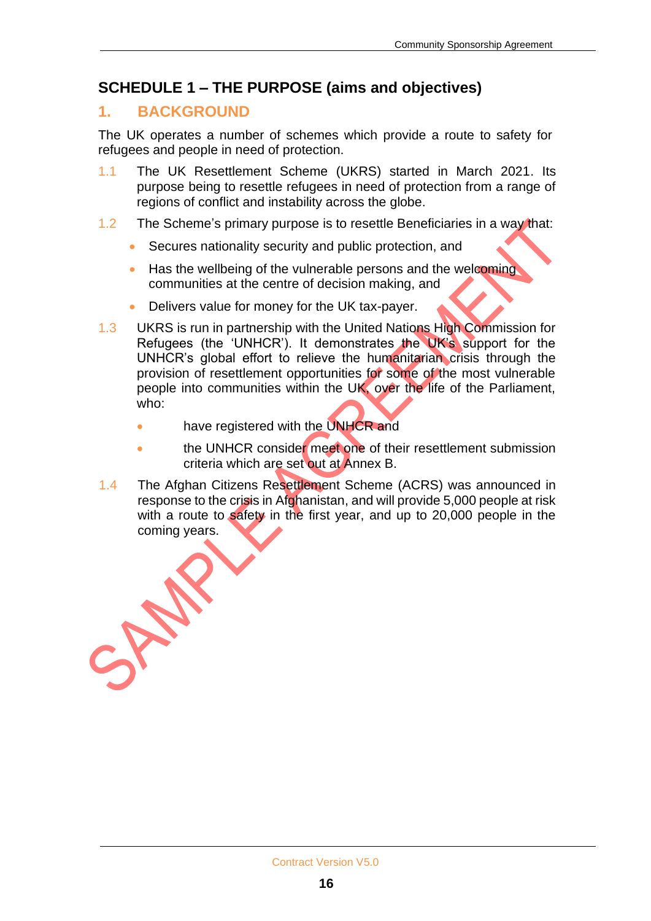## **SCHEDULE 1 – THE PURPOSE (aims and objectives)**

## **1. BACKGROUND**

The UK operates a number of schemes which provide a route to safety for refugees and people in need of protection.

- 1.1 The UK Resettlement Scheme (UKRS) started in March 2021. Its purpose being to resettle refugees in need of protection from a range of regions of conflict and instability across the globe.
- 1.2 The Scheme's primary purpose is to resettle Beneficiaries in a way that:
	- Secures nationality security and public protection, and
	- Has the wellbeing of the vulnerable persons and the welcoming communities at the centre of decision making, and
	- Delivers value for money for the UK tax-payer.
- 1.3 UKRS is run in partnership with the United Nations High Commission for Refugees (the 'UNHCR'). It demonstrates the UK's support for the UNHCR's global effort to relieve the humanitarian crisis through the provision of resettlement opportunities for some of the most vulnerable people into communities within the UK, over the life of the Parliament, who:
	- have registered with the UNHCR and
	- the UNHCR consider meet one of their resettlement submission criteria which are set out at Annex B.
- 1.4 The Afghan Citizens Resettlement Scheme (ACRS) was announced in response to the crisis in Afghanistan, and will provide 5,000 people at risk with a route to safety in the first year, and up to 20,000 people in the coming years.

WEST-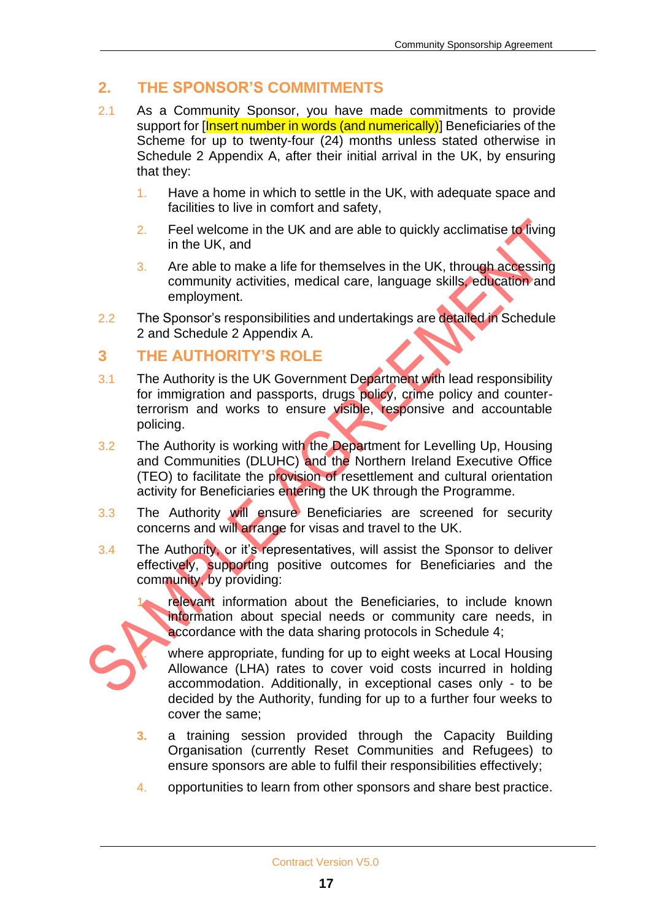## **2. THE SPONSOR'S COMMITMENTS**

- 2.1 As a Community Sponsor, you have made commitments to provide support for [Insert number in words (and numerically)] Beneficiaries of the Scheme for up to twenty-four (24) months unless stated otherwise in Schedule 2 Appendix A, after their initial arrival in the UK, by ensuring that they:
	- 1. Have a home in which to settle in the UK, with adequate space and facilities to live in comfort and safety,
	- 2. Feel welcome in the UK and are able to quickly acclimatise to living in the UK, and
	- 3. Are able to make a life for themselves in the UK, through accessing community activities, medical care, language skills, education and employment.
- 2.2 The Sponsor's responsibilities and undertakings are detailed in Schedule 2 and Schedule 2 Appendix A.

#### **3 THE AUTHORITY'S ROLE**

- 3.1 The Authority is the UK Government Department with lead responsibility for immigration and passports, drugs policy, crime policy and counterterrorism and works to ensure visible, responsive and accountable policing.
- 3.2 The Authority is working with the Department for Levelling Up, Housing and Communities (DLUHC) and the Northern Ireland Executive Office (TEO) to facilitate the provision of resettlement and cultural orientation activity for Beneficiaries entering the UK through the Programme.
- 3.3 The Authority will ensure Beneficiaries are screened for security concerns and will arrange for visas and travel to the UK.
- 3.4 The Authority, or it's representatives, will assist the Sponsor to deliver effectively, supporting positive outcomes for Beneficiaries and the community, by providing:



2. where appropriate, funding for up to eight weeks at Local Housing Allowance (LHA) rates to cover void costs incurred in holding accommodation. Additionally, in exceptional cases only - to be decided by the Authority, funding for up to a further four weeks to cover the same;

- **3.** a training session provided through the Capacity Building Organisation (currently Reset Communities and Refugees) to ensure sponsors are able to fulfil their responsibilities effectively;
- 4. opportunities to learn from other sponsors and share best practice.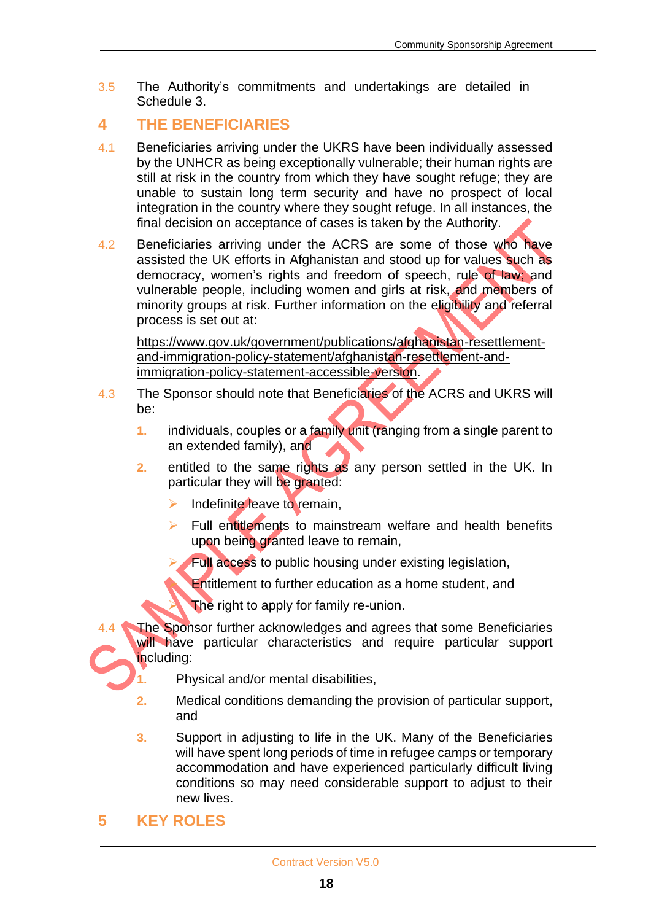3.5 The Authority's commitments and undertakings are detailed in Schedule 3.

## **4 THE BENEFICIARIES**

- 4.1 Beneficiaries arriving under the UKRS have been individually assessed by the UNHCR as being exceptionally vulnerable; their human rights are still at risk in the country from which they have sought refuge; they are unable to sustain long term security and have no prospect of local integration in the country where they sought refuge. In all instances, the final decision on acceptance of cases is taken by the Authority.
- 4.2 Beneficiaries arriving under the ACRS are some of those who have assisted the UK efforts in Afghanistan and stood up for values such as democracy, women's rights and freedom of speech, rule of law; and vulnerable people, including women and girls at risk, and members of minority groups at risk. Further information on the eligibility and referral process is set out at:

[https://www.gov.uk/government/publications/afghanistan-resettlement](https://gbr01.safelinks.protection.outlook.com/?url=https%3A%2F%2Fwww.gov.uk%2Fgovernment%2Fpublications%2Fafghanistan-resettlement-and-immigration-policy-statement%2Fafghanistan-resettlement-and-immigration-policy-statement-accessible-version&data=04%7C01%7CJane.kennedy%40homeoffice.gov.uk%7Caa28c37ec2a7424b39fb08d9bb36e3f0%7Cf24d93ecb2914192a08af182245945c2%7C0%7C0%7C637746666692343616%7CUnknown%7CTWFpbGZsb3d8eyJWIjoiMC4wLjAwMDAiLCJQIjoiV2luMzIiLCJBTiI6Ik1haWwiLCJXVCI6Mn0%3D%7C3000&sdata=L7tjYl9PUEVe%2F8MiaCGeJRfHMtJkOy2g%2F0WUNWYLF08%3D&reserved=0)[and-immigration-policy-statement/afghanistan-resettlement-and](https://gbr01.safelinks.protection.outlook.com/?url=https%3A%2F%2Fwww.gov.uk%2Fgovernment%2Fpublications%2Fafghanistan-resettlement-and-immigration-policy-statement%2Fafghanistan-resettlement-and-immigration-policy-statement-accessible-version&data=04%7C01%7CJane.kennedy%40homeoffice.gov.uk%7Caa28c37ec2a7424b39fb08d9bb36e3f0%7Cf24d93ecb2914192a08af182245945c2%7C0%7C0%7C637746666692343616%7CUnknown%7CTWFpbGZsb3d8eyJWIjoiMC4wLjAwMDAiLCJQIjoiV2luMzIiLCJBTiI6Ik1haWwiLCJXVCI6Mn0%3D%7C3000&sdata=L7tjYl9PUEVe%2F8MiaCGeJRfHMtJkOy2g%2F0WUNWYLF08%3D&reserved=0)[immigration-policy-statement-accessible-version.](https://gbr01.safelinks.protection.outlook.com/?url=https%3A%2F%2Fwww.gov.uk%2Fgovernment%2Fpublications%2Fafghanistan-resettlement-and-immigration-policy-statement%2Fafghanistan-resettlement-and-immigration-policy-statement-accessible-version&data=04%7C01%7CJane.kennedy%40homeoffice.gov.uk%7Caa28c37ec2a7424b39fb08d9bb36e3f0%7Cf24d93ecb2914192a08af182245945c2%7C0%7C0%7C637746666692343616%7CUnknown%7CTWFpbGZsb3d8eyJWIjoiMC4wLjAwMDAiLCJQIjoiV2luMzIiLCJBTiI6Ik1haWwiLCJXVCI6Mn0%3D%7C3000&sdata=L7tjYl9PUEVe%2F8MiaCGeJRfHMtJkOy2g%2F0WUNWYLF08%3D&reserved=0)

- 4.3 The Sponsor should note that Beneficiaries of the ACRS and UKRS will be:
	- **1.** individuals, couples or a family unit (ranging from a single parent to an extended family), and
	- **2.** entitled to the same rights as any person settled in the UK. In particular they will be granted:
		- $\triangleright$  Indefinite leave to remain,
		- $\triangleright$  Full entitlements to mainstream welfare and health benefits upon being granted leave to remain,
			- Full access to public housing under existing legislation,
				- **Entitlement to further education as a home student, and**
				- The right to apply for family re-union.
- The Sponsor further acknowledges and agrees that some Beneficiaries will have particular characteristics and require particular support including:
	- **1.** Physical and/or mental disabilities,
	- **2.** Medical conditions demanding the provision of particular support, and
	- **3.** Support in adjusting to life in the UK. Many of the Beneficiaries will have spent long periods of time in refugee camps or temporary accommodation and have experienced particularly difficult living conditions so may need considerable support to adjust to their new lives.
- **5 KEY ROLES**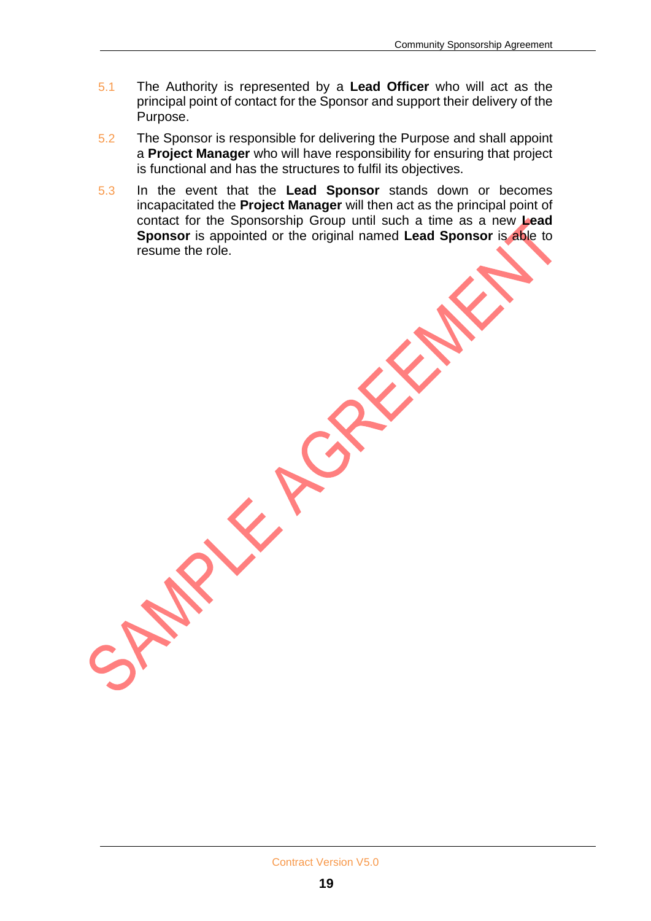- 5.1 The Authority is represented by a **Lead Officer** who will act as the principal point of contact for the Sponsor and support their delivery of the Purpose.
- 5.2 The Sponsor is responsible for delivering the Purpose and shall appoint a **Project Manager** who will have responsibility for ensuring that project is functional and has the structures to fulfil its objectives.
- 5.3 In the event that the **Lead Sponsor** stands down or becomes incapacitated the **Project Manager** will then act as the principal point of contact for the Sponsorship Group until such a time as a new **Lead Sponsor** is appointed or the original named **Lead Sponsor** is able to resume the role.

KA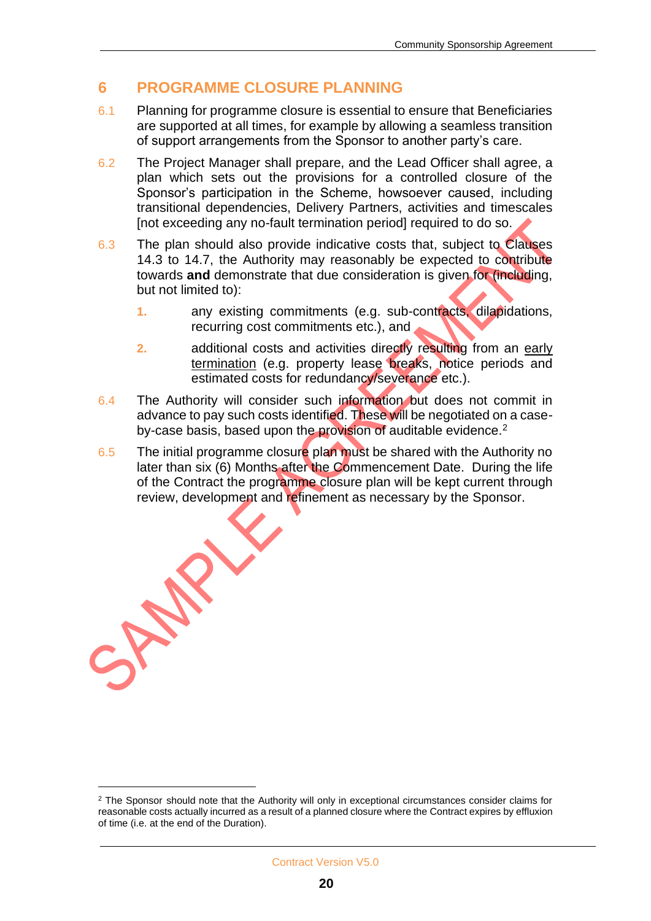## **6 PROGRAMME CLOSURE PLANNING**

- 6.1 Planning for programme closure is essential to ensure that Beneficiaries are supported at all times, for example by allowing a seamless transition of support arrangements from the Sponsor to another party's care.
- 6.2 The Project Manager shall prepare, and the Lead Officer shall agree, a plan which sets out the provisions for a controlled closure of the Sponsor's participation in the Scheme, howsoever caused, including transitional dependencies, Delivery Partners, activities and timescales [not exceeding any no-fault termination period] required to do so.
- 6.3 The plan should also provide indicative costs that, subject to Clauses 14.3 to 14.7, the Authority may reasonably be expected to contribute towards **and** demonstrate that due consideration is given for (including, but not limited to):
	- **1.** any existing commitments (e.g. sub-contracts, dilapidations, recurring cost commitments etc.), and
	- **2.** additional costs and activities directly resulting from an early termination (e.g. property lease breaks, notice periods and estimated costs for redundancy/severance etc.).
- 6.4 The Authority will consider such information but does not commit in advance to pay such costs identified. These will be negotiated on a caseby-case basis, based upon the provision of auditable evidence.<sup>2</sup>
- 6.5 The initial programme closure plan must be shared with the Authority no later than six (6) Months after the Commencement Date. During the life of the Contract the programme closure plan will be kept current through review, development and refinement as necessary by the Sponsor.

SAN

<sup>&</sup>lt;sup>2</sup> The Sponsor should note that the Authority will only in exceptional circumstances consider claims for reasonable costs actually incurred as a result of a planned closure where the Contract expires by effluxion of time (i.e. at the end of the Duration).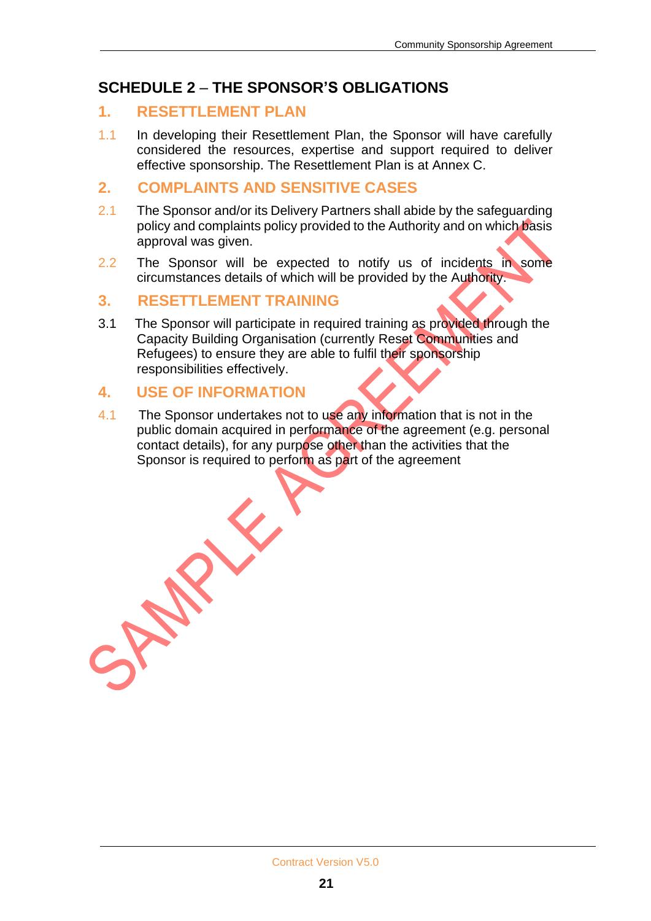## **SCHEDULE 2** – **THE SPONSOR'S OBLIGATIONS**

#### **1. RESETTLEMENT PLAN**

1.1 In developing their Resettlement Plan, the Sponsor will have carefully considered the resources, expertise and support required to deliver effective sponsorship. The Resettlement Plan is at Annex C.

#### **2. COMPLAINTS AND SENSITIVE CASES**

- 2.1 The Sponsor and/or its Delivery Partners shall abide by the safeguarding policy and complaints policy provided to the Authority and on which basis approval was given.
- 2.2 The Sponsor will be expected to notify us of incidents in some circumstances details of which will be provided by the Authority.

#### **3. RESETTLEMENT TRAINING**

3.1 The Sponsor will participate in required training as provided through the Capacity Building Organisation (currently Reset Communities and Refugees) to ensure they are able to fulfil their sponsorship responsibilities effectively.

#### **4. USE OF INFORMATION**

JAN

X

4.1 The Sponsor undertakes not to use any information that is not in the public domain acquired in performance of the agreement (e.g. personal contact details), for any purpose other than the activities that the Sponsor is required to perform as part of the agreement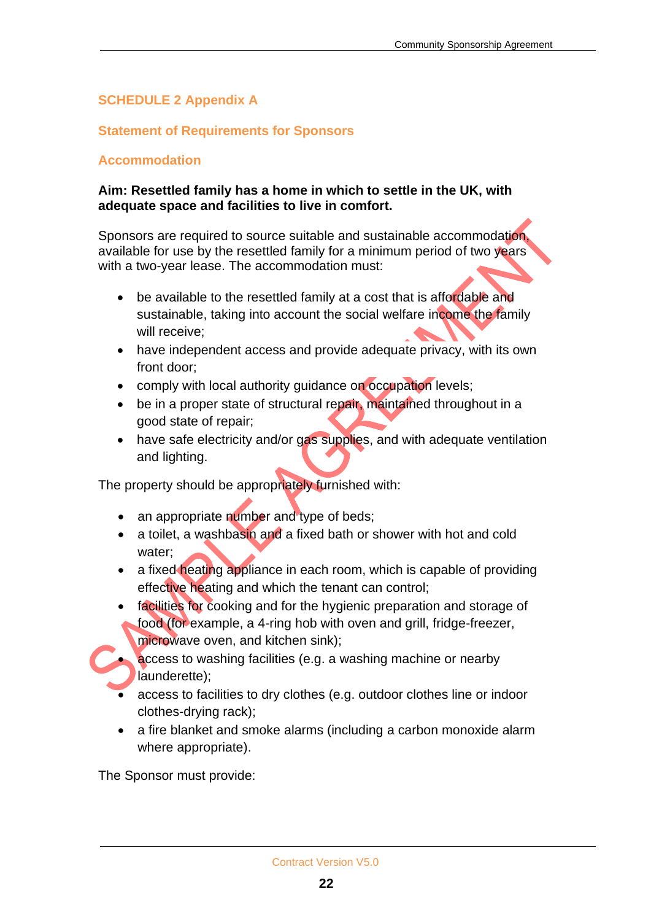#### **SCHEDULE 2 Appendix A**

#### **Statement of Requirements for Sponsors**

#### **Accommodation**

#### **Aim: Resettled family has a home in which to settle in the UK, with adequate space and facilities to live in comfort.**

Sponsors are required to source suitable and sustainable accommodation available for use by the resettled family for a minimum period of two years with a two-year lease. The accommodation must:

- be available to the resettled family at a cost that is affordable and sustainable, taking into account the social welfare income the family will receive;
- have independent access and provide adequate privacy, with its own front door;
- comply with local authority guidance on occupation levels;
- be in a proper state of structural repair, maintained throughout in a good state of repair;
- have safe electricity and/or gas supplies, and with adequate ventilation and lighting.

The property should be appropriately furnished with:

- an appropriate number and type of beds;
- a toilet, a washbasin and a fixed bath or shower with hot and cold water;
- a fixed heating appliance in each room, which is capable of providing effective heating and which the tenant can control;
- facilities for cooking and for the hygienic preparation and storage of food (for example, a 4-ring hob with oven and grill, fridge-freezer, microwave oven, and kitchen sink);

• access to washing facilities (e.g. a washing machine or nearby launderette);

- access to facilities to dry clothes (e.g. outdoor clothes line or indoor clothes-drying rack);
- a fire blanket and smoke alarms (including a carbon monoxide alarm where appropriate).

The Sponsor must provide: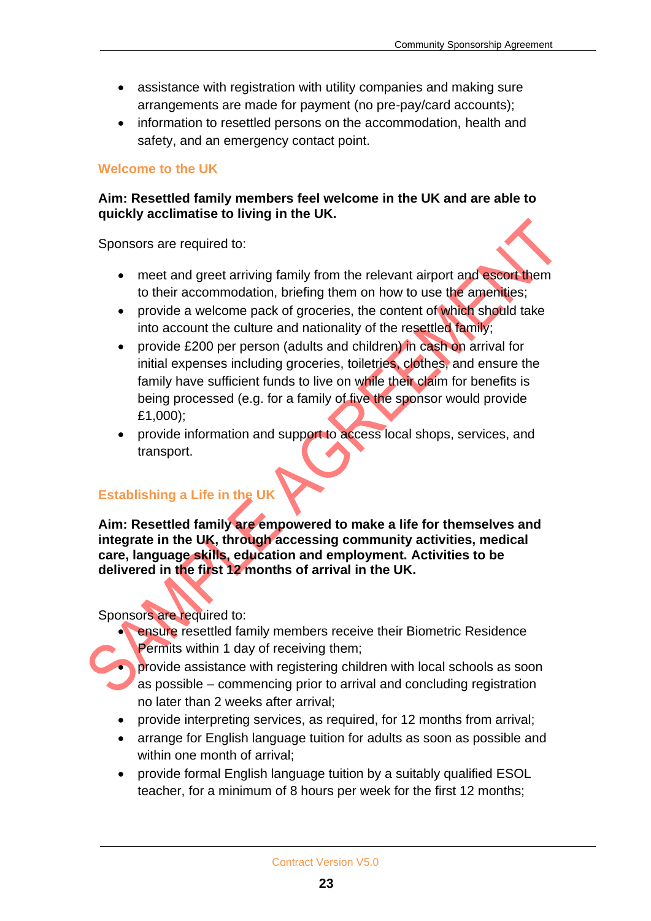- assistance with registration with utility companies and making sure arrangements are made for payment (no pre-pay/card accounts);
- information to resettled persons on the accommodation, health and safety, and an emergency contact point.

#### **Welcome to the UK**

#### **Aim: Resettled family members feel welcome in the UK and are able to quickly acclimatise to living in the UK.**

Sponsors are required to:

- meet and greet arriving family from the relevant airport and escort them to their accommodation, briefing them on how to use the amenities;
- provide a welcome pack of groceries, the content of which should take into account the culture and nationality of the resettled family;
- provide £200 per person (adults and children) in cash on arrival for initial expenses including groceries, toiletries, clothes, and ensure the family have sufficient funds to live on while their claim for benefits is being processed (e.g. for a family of five the sponsor would provide £1,000);
- provide information and support to access local shops, services, and transport.

#### **Establishing a Life in the UK**

**Aim: Resettled family are empowered to make a life for themselves and integrate in the UK, through accessing community activities, medical care, language skills, education and employment. Activities to be delivered in the first 12 months of arrival in the UK.**

Sponsors are required to:

ensure resettled family members receive their Biometric Residence Permits within 1 day of receiving them;



- provide interpreting services, as required, for 12 months from arrival;
- arrange for English language tuition for adults as soon as possible and within one month of arrival;
- provide formal English language tuition by a suitably qualified ESOL teacher, for a minimum of 8 hours per week for the first 12 months;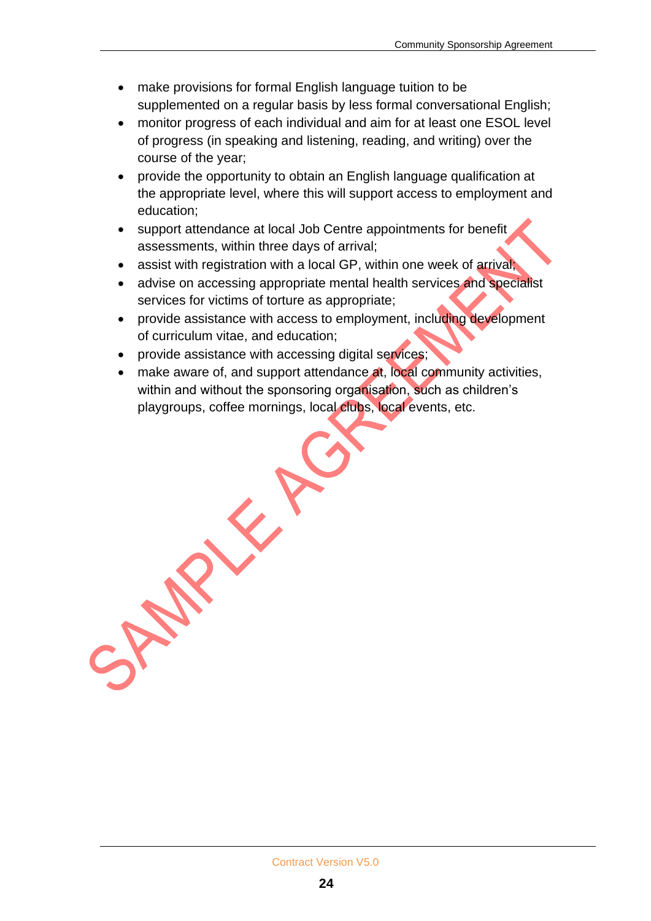- make provisions for formal English language tuition to be supplemented on a regular basis by less formal conversational English;
- monitor progress of each individual and aim for at least one ESOL level of progress (in speaking and listening, reading, and writing) over the course of the year;
- provide the opportunity to obtain an English language qualification at the appropriate level, where this will support access to employment and education;
- support attendance at local Job Centre appointments for benefit assessments, within three days of arrival;
- assist with registration with a local GP, within one week of arrival;
- advise on accessing appropriate mental health services and specialist services for victims of torture as appropriate;
- provide assistance with access to employment, including development of curriculum vitae, and education;
- provide assistance with accessing digital services;
- make aware of, and support attendance at, local community activities, within and without the sponsoring organisation, such as children's playgroups, coffee mornings, local clubs, local events, etc.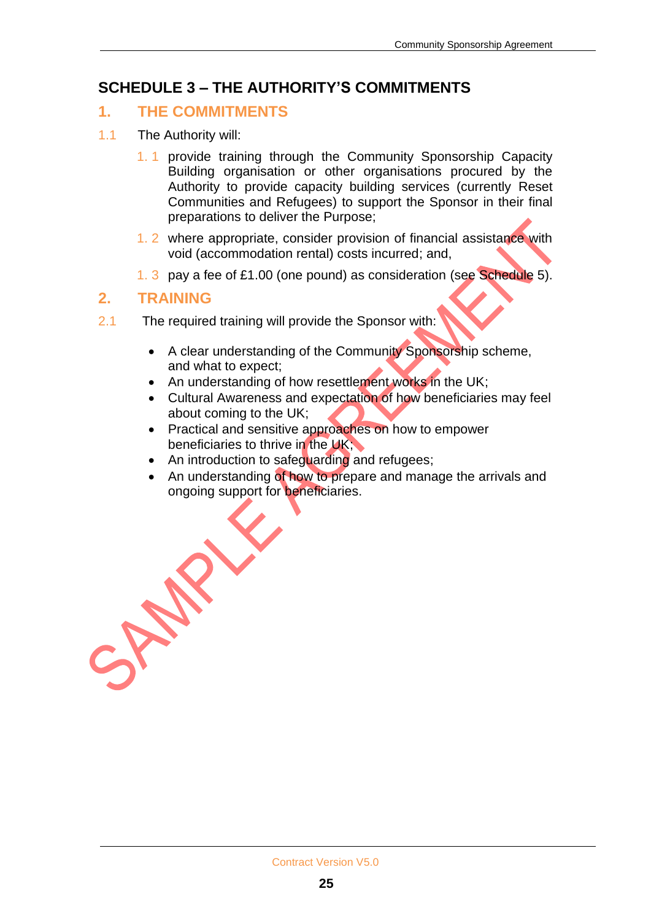## **SCHEDULE 3 – THE AUTHORITY'S COMMITMENTS**

#### **1. THE COMMITMENTS**

- 1.1 The Authority will:
	- 1. 1 provide training through the Community Sponsorship Capacity Building organisation or other organisations procured by the Authority to provide capacity building services (currently Reset Communities and Refugees) to support the Sponsor in their final preparations to deliver the Purpose;
	- 1. 2 where appropriate, consider provision of financial assistance with void (accommodation rental) costs incurred; and,
	- 1. 3 pay a fee of £1.00 (one pound) as consideration (see Schedule 5).

#### **2. TRAINING**

- 2.1 The required training will provide the Sponsor with:
	- A clear understanding of the Community Sponsorship scheme, and what to expect;
	- An understanding of how resettlement works in the UK:
	- Cultural Awareness and expectation of how beneficiaries may feel about coming to the UK;
	- Practical and sensitive approaches on how to empower beneficiaries to thrive in the UK;
	- An introduction to safeguarding and refugees;
	- An understanding of how to prepare and manage the arrivals and ongoing support for beneficiaries.

AN-I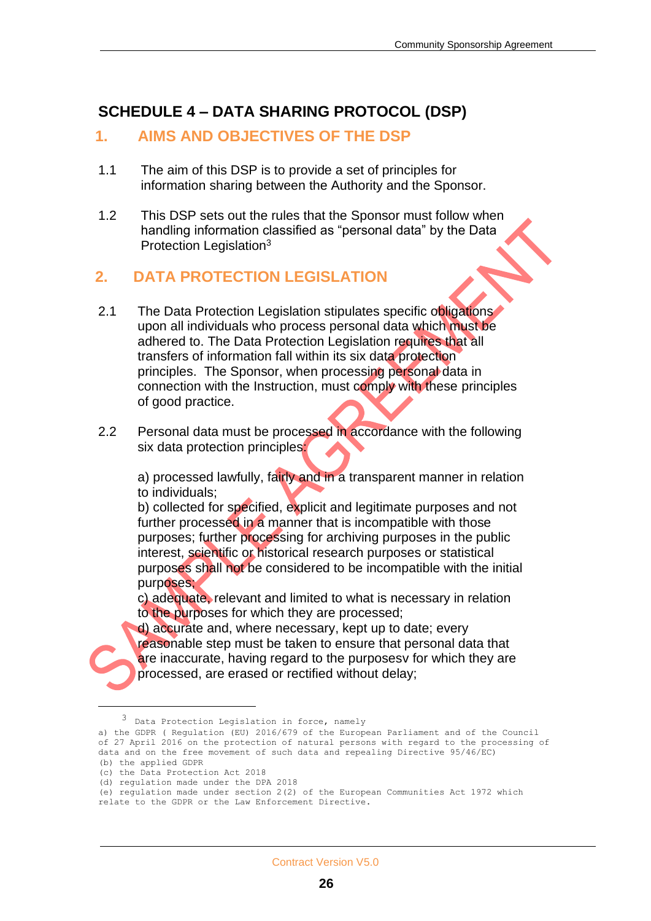## **SCHEDULE 4 – DATA SHARING PROTOCOL (DSP)**

#### **1. AIMS AND OBJECTIVES OF THE DSP**

- 1.1 The aim of this DSP is to provide a set of principles for information sharing between the Authority and the Sponsor.
- 1.2 This DSP sets out the rules that the Sponsor must follow when handling information classified as "personal data" by the Data Protection Legislation<sup>3</sup>

#### **2. DATA PROTECTION LEGISLATION**

- 2.1 The Data Protection Legislation stipulates specific obligations upon all individuals who process personal data which must be adhered to. The Data Protection Legislation requires that all transfers of information fall within its six data protection principles. The Sponsor, when processing personal data in connection with the Instruction, must comply with these principles of good practice.
- 2.2 Personal data must be processed in accordance with the following six data protection principles:

a) processed lawfully, fairly and in a transparent manner in relation to individuals;

b) collected for specified, explicit and legitimate purposes and not further processed in a manner that is incompatible with those purposes; further processing for archiving purposes in the public interest, scientific or historical research purposes or statistical purposes shall not be considered to be incompatible with the initial purposes;

c) adequate, relevant and limited to what is necessary in relation to the purposes for which they are processed;

d) accurate and, where necessary, kept up to date; every reasonable step must be taken to ensure that personal data that are inaccurate, having regard to the purposesy for which they are processed, are erased or rectified without delay;

<sup>3</sup> Data Protection Legislation in force, namely

a) the GDPR ( Regulation (EU) 2016/679 of the European Parliament and of the Council of 27 April 2016 on the protection of natural persons with regard to the processing of data and on the free movement of such data and repealing Directive 95/46/EC) (b) the applied GDPR

<sup>(</sup>c) the Data Protection Act 2018

<sup>(</sup>d) regulation made under the DPA 2018

<sup>(</sup>e) regulation made under section 2(2) of the European Communities Act 1972 which relate to the GDPR or the Law Enforcement Directive.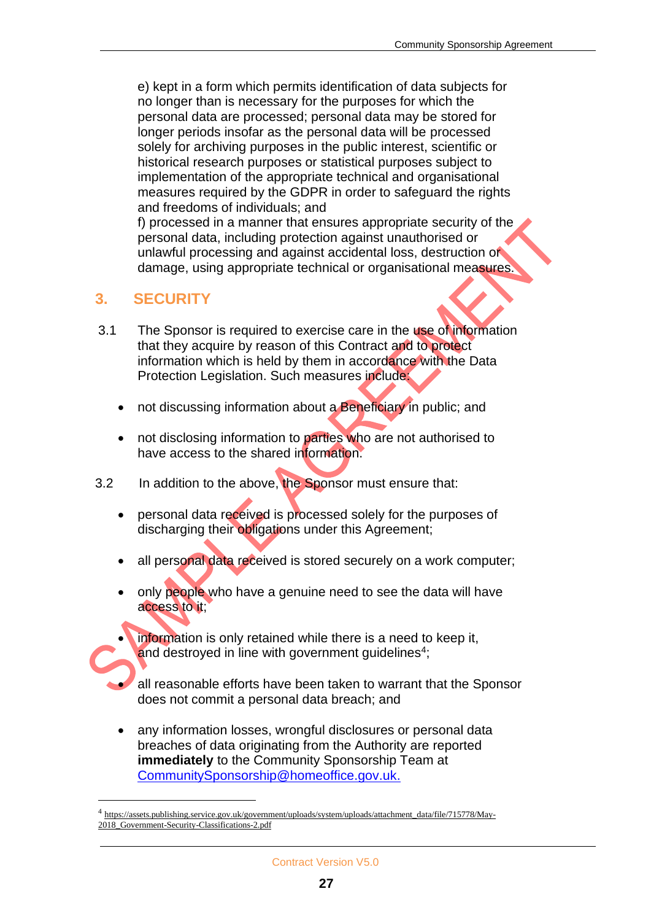e) kept in a form which permits identification of data subjects for no longer than is necessary for the purposes for which the personal data are processed; personal data may be stored for longer periods insofar as the personal data will be processed solely for archiving purposes in the public interest, scientific or historical research purposes or statistical purposes subject to implementation of the appropriate technical and organisational measures required by the GDPR in order to safeguard the rights and freedoms of individuals; and

f) processed in a manner that ensures appropriate security of the personal data, including protection against unauthorised or unlawful processing and against accidental loss, destruction or damage, using appropriate technical or organisational measures.

#### **3. SECURITY**

- 3.1 The Sponsor is required to exercise care in the use of information that they acquire by reason of this Contract and to protect information which is held by them in accordance with the Data Protection Legislation. Such measures include:
	- not discussing information about a Beneficiary in public; and
	- not disclosing information to parties who are not authorised to have access to the shared information.
- 3.2 In addition to the above, the Sponsor must ensure that:
	- personal data received is processed solely for the purposes of discharging their obligations under this Agreement;
	- all personal data received is stored securely on a work computer;
	- only people who have a genuine need to see the data will have access to it;
		- information is only retained while there is a need to keep it, and destroyed in line with government guidelines<sup>4</sup>;
	- all reasonable efforts have been taken to warrant that the Sponsor does not commit a personal data breach; and
	- any information losses, wrongful disclosures or personal data breaches of data originating from the Authority are reported **immediately** to the Community Sponsorship Team at [CommunitySponsorship@homeoffice.gov.uk.](mailto:CommunitySponsorship@homeoffice.gov.uk)

<sup>&</sup>lt;sup>4</sup> [https://assets.publishing.service.gov.uk/government/uploads/system/uploads/attachment\\_data/file/715778/May-](https://assets.publishing.service.gov.uk/government/uploads/system/uploads/attachment_data/file/715778/May-2018_Government-Security-Classifications-2.pdf)[2018\\_Government-Security-Classifications-2.pdf](https://assets.publishing.service.gov.uk/government/uploads/system/uploads/attachment_data/file/715778/May-2018_Government-Security-Classifications-2.pdf)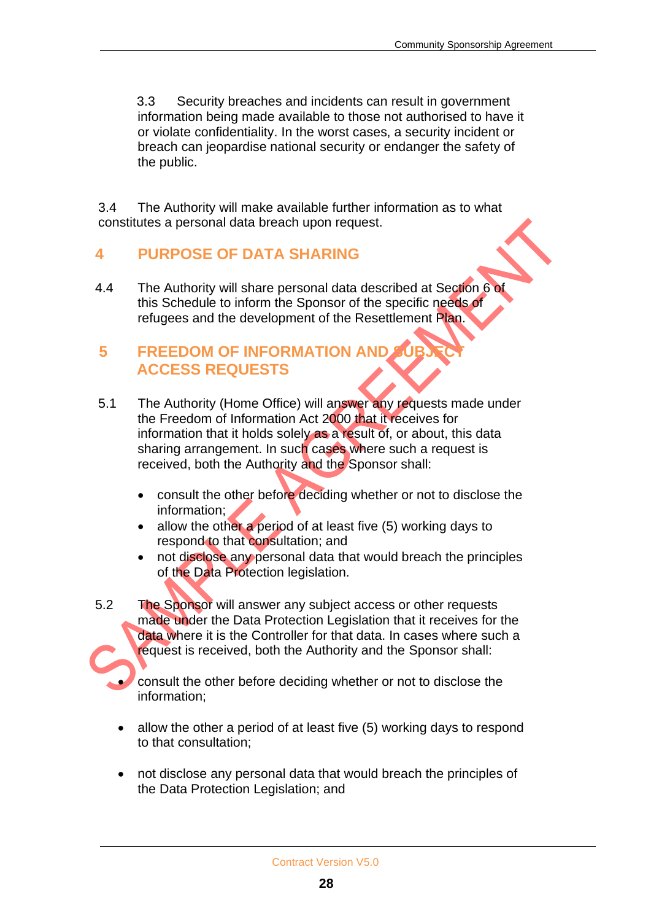3.3 Security breaches and incidents can result in government information being made available to those not authorised to have it or violate confidentiality. In the worst cases, a security incident or breach can jeopardise national security or endanger the safety of the public.

3.4 The Authority will make available further information as to what constitutes a personal data breach upon request.

## **4 PURPOSE OF DATA SHARING**

4.4 The Authority will share personal data described at Section 6 of this Schedule to inform the Sponsor of the specific needs of refugees and the development of the Resettlement Plan.

## **5 FREEDOM OF INFORMATION AND ACCESS REQUESTS**

- 5.1The Authority (Home Office) will answer any requests made under the Freedom of Information Act 2000 that it receives for information that it holds solely as a result of, or about, this data sharing arrangement. In such cases where such a request is received, both the Authority and the Sponsor shall:
	- consult the other before deciding whether or not to disclose the information;
	- allow the other a period of at least five (5) working days to respond to that consultation; and
	- not disclose any personal data that would breach the principles of the Data Protection legislation.
- 5.2 The Sponsor will answer any subject access or other requests made under the Data Protection Legislation that it receives for the data where it is the Controller for that data. In cases where such a request is received, both the Authority and the Sponsor shall:

• consult the other before deciding whether or not to disclose the information;

- allow the other a period of at least five (5) working days to respond to that consultation;
- not disclose any personal data that would breach the principles of the Data Protection Legislation; and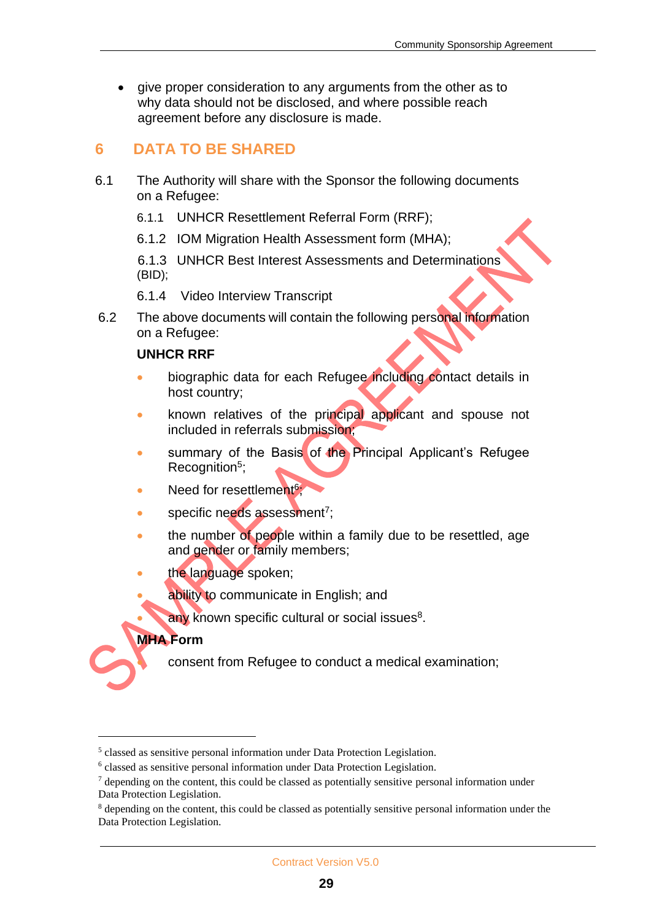give proper consideration to any arguments from the other as to why data should not be disclosed, and where possible reach agreement before any disclosure is made.

## **6 DATA TO BE SHARED**

- 6.1 The Authority will share with the Sponsor the following documents on a Refugee:
	- 6.1.1 UNHCR Resettlement Referral Form (RRF);
	- 6.1.2 IOM Migration Health Assessment form (MHA);

6.1.3 UNHCR Best Interest Assessments and Determinations (BID);

- 6.1.4 Video Interview Transcript
- 6.2 The above documents will contain the following personal information on a Refugee:

#### **UNHCR RRF**

- biographic data for each Refugee including contact details in host country;
- known relatives of the principal applicant and spouse not included in referrals submission;
- summary of the Basis of the Principal Applicant's Refugee Recognition<sup>5</sup>;
- Need for resettlement<sup>6</sup>;
- specific needs assessment<sup>7</sup>;
- the number of people within a family due to be resettled, age and gender or family members;
- the language spoken;
- ability to communicate in English; and
- $\bullet$  any known specific cultural or social issues<sup>8</sup>.

#### **MHA Form**

• consent from Refugee to conduct a medical examination;

<sup>&</sup>lt;sup>5</sup> classed as sensitive personal information under Data Protection Legislation.

<sup>&</sup>lt;sup>6</sup> classed as sensitive personal information under Data Protection Legislation.

 $<sup>7</sup>$  depending on the content, this could be classed as potentially sensitive personal information under</sup> Data Protection Legislation.

<sup>8</sup> depending on the content, this could be classed as potentially sensitive personal information under the Data Protection Legislation.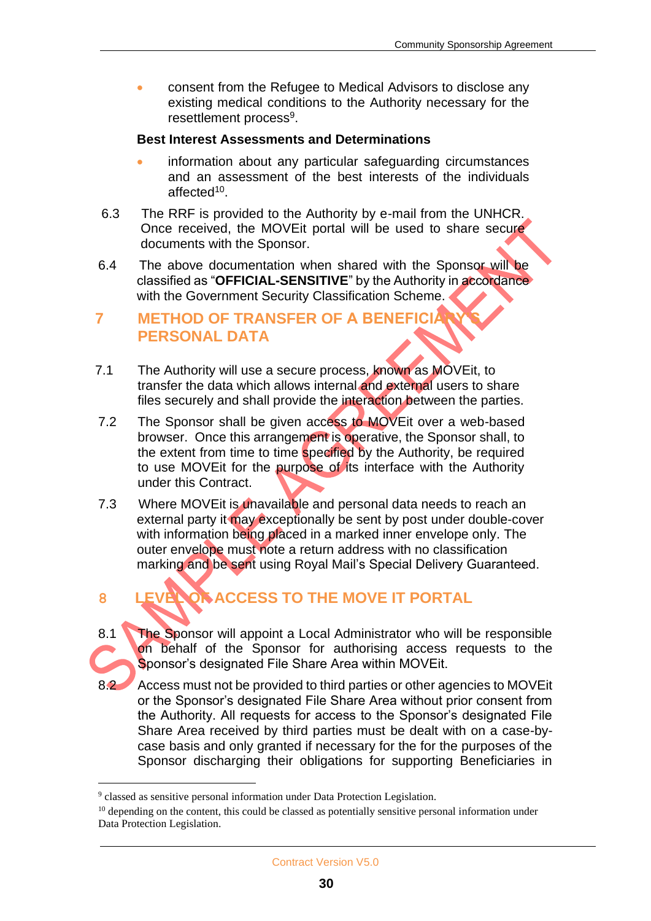• consent from the Refugee to Medical Advisors to disclose any existing medical conditions to the Authority necessary for the resettlement process<sup>9</sup>.

#### **Best Interest Assessments and Determinations**

- information about any particular safeguarding circumstances and an assessment of the best interests of the individuals affected<sup>10</sup>.
- 6.3 The RRF is provided to the Authority by e-mail from the UNHCR. Once received, the MOVEit portal will be used to share secure documents with the Sponsor.
- 6.4 The above documentation when shared with the Sponsor will be classified as "**OFFICIAL-SENSITIVE**" by the Authority in accordance with the Government Security Classification Scheme.

## **7 METHOD OF TRANSFER OF A BENEFICI PERSONAL DATA**

- 7.1 The Authority will use a secure process, known as MOVEit, to transfer the data which allows internal and external users to share files securely and shall provide the interaction between the parties.
- 7.2 The Sponsor shall be given access to MOVEit over a web-based browser. Once this arrangement is operative, the Sponsor shall, to the extent from time to time specified by the Authority, be required to use MOVEit for the purpose of its interface with the Authority under this Contract.
- 7.3 Where MOVEit is unavailable and personal data needs to reach an external party it may exceptionally be sent by post under double-cover with information being placed in a marked inner envelope only. The outer envelope must note a return address with no classification marking and be sent using Royal Mail's Special Delivery Guaranteed.

## **8 LEVEL OF ACCESS TO THE MOVE IT PORTAL**

- 8.1 The Sponsor will appoint a Local Administrator who will be responsible on behalf of the Sponsor for authorising access requests to the Sponsor's designated File Share Area within MOVEit.
- 8.2 Access must not be provided to third parties or other agencies to MOVEit or the Sponsor's designated File Share Area without prior consent from the Authority. All requests for access to the Sponsor's designated File Share Area received by third parties must be dealt with on a case-bycase basis and only granted if necessary for the for the purposes of the Sponsor discharging their obligations for supporting Beneficiaries in

<sup>&</sup>lt;sup>9</sup> classed as sensitive personal information under Data Protection Legislation.

 $10$  depending on the content, this could be classed as potentially sensitive personal information under Data Protection Legislation.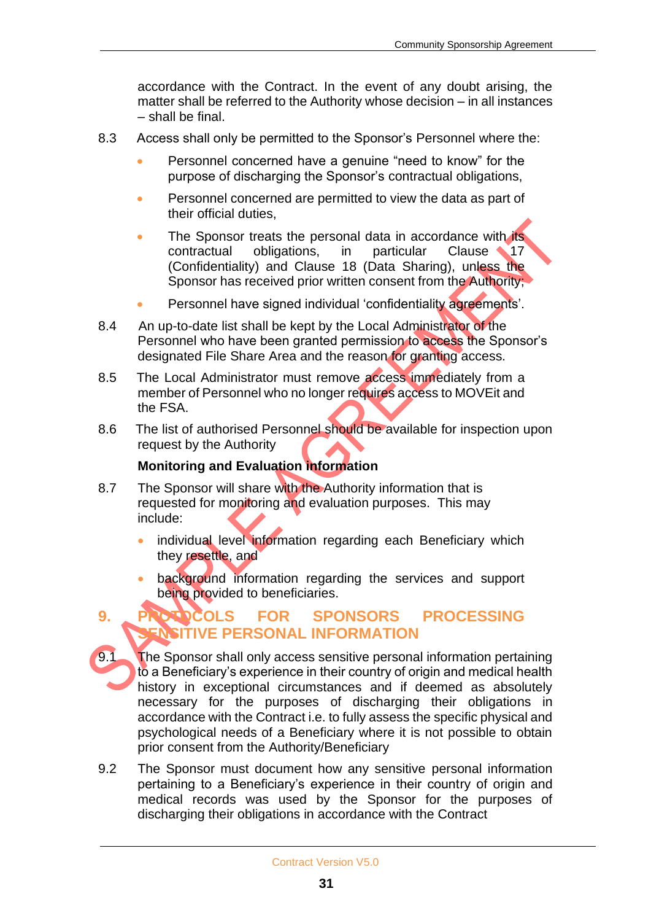accordance with the Contract. In the event of any doubt arising, the matter shall be referred to the Authority whose decision – in all instances – shall be final.

- 8.3 Access shall only be permitted to the Sponsor's Personnel where the:
	- Personnel concerned have a genuine "need to know" for the purpose of discharging the Sponsor's contractual obligations,
	- Personnel concerned are permitted to view the data as part of their official duties,
	- The Sponsor treats the personal data in accordance with its contractual obligations, in particular Clause 17 (Confidentiality) and Clause 18 (Data Sharing), unless the Sponsor has received prior written consent from the Authority;
	- Personnel have signed individual 'confidentiality agreements'.
- 8.4 An up-to-date list shall be kept by the Local Administrator of the Personnel who have been granted permission to access the Sponsor's designated File Share Area and the reason for granting access.
- 8.5 The Local Administrator must remove access immediately from a member of Personnel who no longer requires access to MOVEit and the FSA.
- 8.6 The list of authorised Personnel should be available for inspection upon request by the Authority

#### **Monitoring and Evaluation information**

- 8.7 The Sponsor will share with the Authority information that is requested for monitoring and evaluation purposes. This may include:
	- individual level information regarding each Beneficiary which they resettle, and
	- background information regarding the services and support being provided to beneficiaries.

## **9. PROTOCOLS FOR SPONSORS PROCESSING NSITIVE PERSONAL INFORMATION**

- 9.1 The Sponsor shall only access sensitive personal information pertaining to a Beneficiary's experience in their country of origin and medical health history in exceptional circumstances and if deemed as absolutely necessary for the purposes of discharging their obligations in accordance with the Contract i.e. to fully assess the specific physical and psychological needs of a Beneficiary where it is not possible to obtain prior consent from the Authority/Beneficiary
- 9.2 The Sponsor must document how any sensitive personal information pertaining to a Beneficiary's experience in their country of origin and medical records was used by the Sponsor for the purposes of discharging their obligations in accordance with the Contract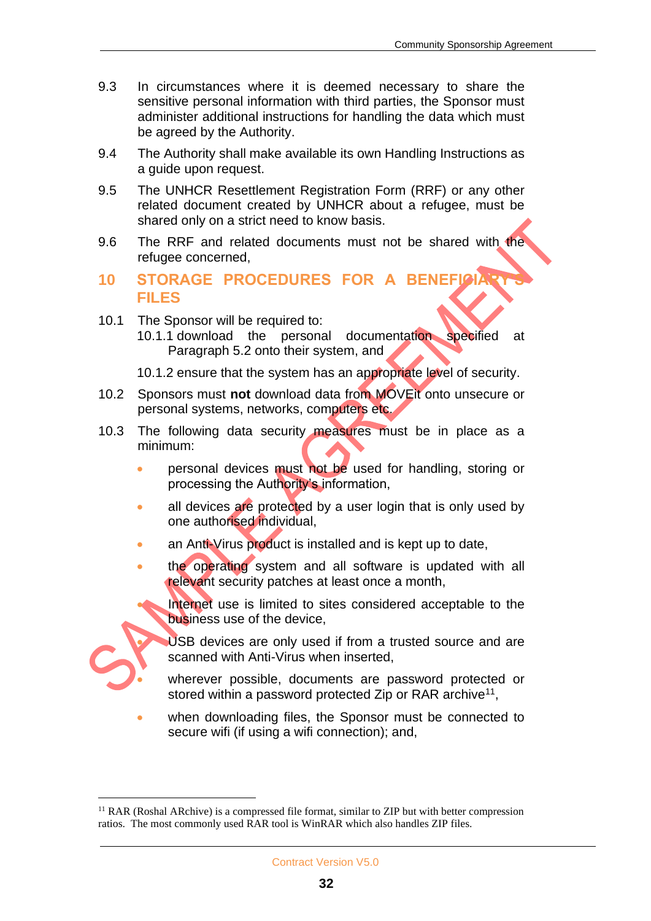- 9.3 In circumstances where it is deemed necessary to share the sensitive personal information with third parties, the Sponsor must administer additional instructions for handling the data which must be agreed by the Authority.
- 9.4 The Authority shall make available its own Handling Instructions as a guide upon request.
- 9.5 The UNHCR Resettlement Registration Form (RRF) or any other related document created by UNHCR about a refugee, must be shared only on a strict need to know basis.
- 9.6 The RRF and related documents must not be shared with the refugee concerned,
- **10 STORAGE PROCEDURES FOR A BENEFI FILES**
- 10.1 The Sponsor will be required to: 10.1.1 download the personal documentation specified at Paragraph 5.2 onto their system, and
	- 10.1.2 ensure that the system has an appropriate level of security.
- 10.2 Sponsors must **not** download data from MOVEit onto unsecure or personal systems, networks, computers etc.
- 10.3 The following data security measures must be in place as a minimum:
	- personal devices must not be used for handling, storing or processing the Authority's information,
	- all devices are protected by a user login that is only used by one authorised individual,
	- an Anti-Virus product is installed and is kept up to date,
	- the operating system and all software is updated with all relevant security patches at least once a month,
		- Internet use is limited to sites considered acceptable to the business use of the device,



USB devices are only used if from a trusted source and are scanned with Anti-Virus when inserted,

- wherever possible, documents are password protected or stored within a password protected Zip or RAR archive<sup>11</sup>,
- when downloading files, the Sponsor must be connected to secure wifi (if using a wifi connection); and,

 $<sup>11</sup> RAR$  (Roshal ARchive) is a compressed file format, similar to ZIP but with better compression</sup> ratios. The most commonly used RAR tool is WinRAR which also handles ZIP files.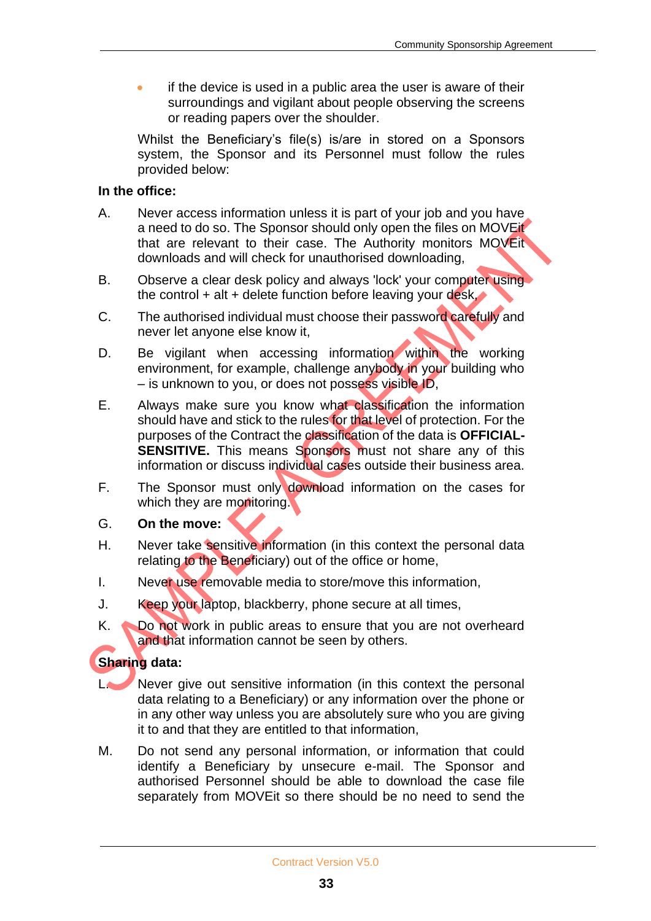• if the device is used in a public area the user is aware of their surroundings and vigilant about people observing the screens or reading papers over the shoulder.

Whilst the Beneficiary's file(s) is/are in stored on a Sponsors system, the Sponsor and its Personnel must follow the rules provided below:

#### **In the office:**

- A. Never access information unless it is part of your job and you have a need to do so. The Sponsor should only open the files on MOVEit that are relevant to their case. The Authority monitors MOVEit downloads and will check for unauthorised downloading,
- B. Observe a clear desk policy and always 'lock' your computer using the control  $+$  alt  $+$  delete function before leaving your desk,
- C. The authorised individual must choose their password carefully and never let anyone else know it,
- D. Be vigilant when accessing information within the working environment, for example, challenge anybody in your building who – is unknown to you, or does not possess visible ID,
- E. Always make sure you know what classification the information should have and stick to the rules for that level of protection. For the purposes of the Contract the classification of the data is **OFFICIAL-SENSITIVE.** This means Sponsors must not share any of this information or discuss individual cases outside their business area.
- F. The Sponsor must only download information on the cases for which they are monitoring.
- G. **On the move:**
- H. Never take sensitive information (in this context the personal data relating to the Beneficiary) out of the office or home,
- I. Never use removable media to store/move this information,
- J. Keep your laptop, blackberry, phone secure at all times,
- K. No not work in public areas to ensure that you are not overheard and that information cannot be seen by others.

#### **Sharing data:**

- L. Never give out sensitive information (in this context the personal data relating to a Beneficiary) or any information over the phone or in any other way unless you are absolutely sure who you are giving it to and that they are entitled to that information,
- M. Do not send any personal information, or information that could identify a Beneficiary by unsecure e-mail. The Sponsor and authorised Personnel should be able to download the case file separately from MOVEit so there should be no need to send the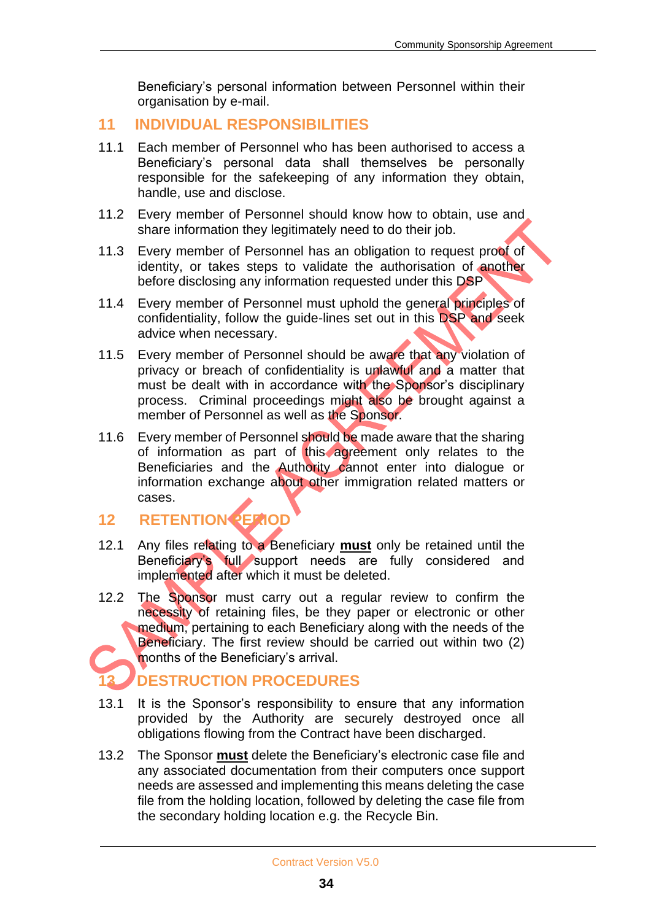Beneficiary's personal information between Personnel within their organisation by e-mail.

## **11 INDIVIDUAL RESPONSIBILITIES**

- 11.1 Each member of Personnel who has been authorised to access a Beneficiary's personal data shall themselves be personally responsible for the safekeeping of any information they obtain, handle, use and disclose.
- 11.2 Every member of Personnel should know how to obtain, use and share information they legitimately need to do their job.
- 11.3 Every member of Personnel has an obligation to request proof of identity, or takes steps to validate the authorisation of another before disclosing any information requested under this DSP
- 11.4 Every member of Personnel must uphold the general principles of confidentiality, follow the guide-lines set out in this DSP and seek advice when necessary.
- 11.5 Every member of Personnel should be aware that any violation of privacy or breach of confidentiality is unlawful and a matter that must be dealt with in accordance with the Sponsor's disciplinary process. Criminal proceedings might also be brought against a member of Personnel as well as the Sponsor.
- 11.6 Every member of Personnel should be made aware that the sharing of information as part of this agreement only relates to the Beneficiaries and the Authority cannot enter into dialogue or information exchange about other immigration related matters or cases.

## **12 RETENTION PERIOD**

- 12.1 Any files relating to a Beneficiary **must** only be retained until the Beneficiary's full support needs are fully considered and implemented after which it must be deleted.
- 12.2 The Sponsor must carry out a regular review to confirm the necessity of retaining files, be they paper or electronic or other medium, pertaining to each Beneficiary along with the needs of the Beneficiary. The first review should be carried out within two (2) months of the Beneficiary's arrival.

## **13 DESTRUCTION PROCEDURES**

- 13.1 It is the Sponsor's responsibility to ensure that any information provided by the Authority are securely destroyed once all obligations flowing from the Contract have been discharged.
- 13.2 The Sponsor **must** delete the Beneficiary's electronic case file and any associated documentation from their computers once support needs are assessed and implementing this means deleting the case file from the holding location, followed by deleting the case file from the secondary holding location e.g. the Recycle Bin.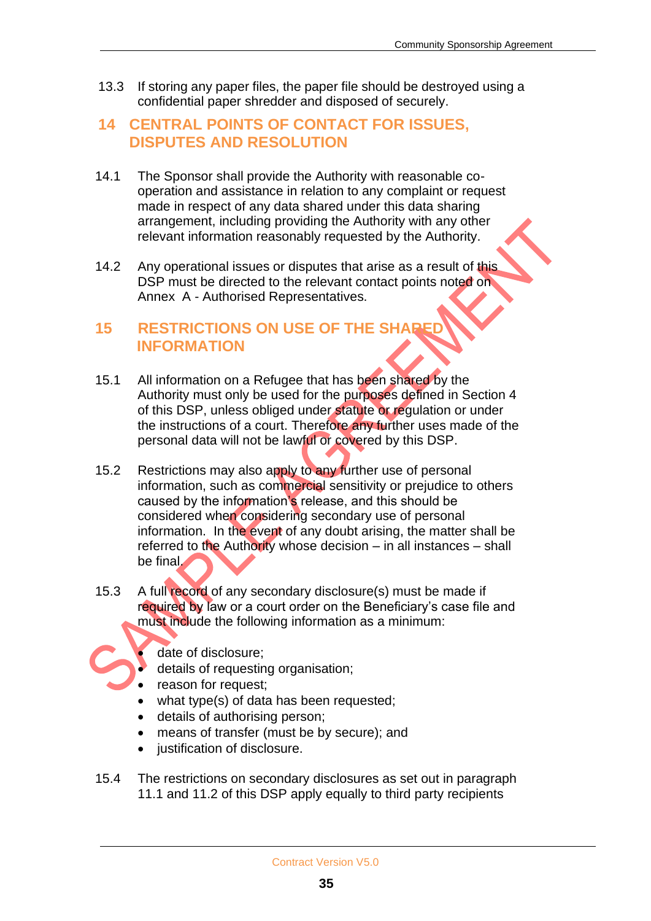13.3 If storing any paper files, the paper file should be destroyed using a confidential paper shredder and disposed of securely.

## **14 CENTRAL POINTS OF CONTACT FOR ISSUES, DISPUTES AND RESOLUTION**

- 14.1 The Sponsor shall provide the Authority with reasonable cooperation and assistance in relation to any complaint or request made in respect of any data shared under this data sharing arrangement, including providing the Authority with any other relevant information reasonably requested by the Authority.
- 14.2 Any operational issues or disputes that arise as a result of this DSP must be directed to the relevant contact points noted on Annex A - Authorised Representatives.

## **15 RESTRICTIONS ON USE OF THE SHAR INFORMATION**

- 15.1 All information on a Refugee that has been shared by the Authority must only be used for the purposes defined in Section 4 of this DSP, unless obliged under statute or regulation or under the instructions of a court. Therefore any further uses made of the personal data will not be lawful or covered by this DSP.
- 15.2 Restrictions may also apply to any further use of personal information, such as commercial sensitivity or prejudice to others caused by the information's release, and this should be considered when considering secondary use of personal information. In the event of any doubt arising, the matter shall be referred to the Authority whose decision – in all instances – shall be final.
- 15.3 A full record of any secondary disclosure(s) must be made if required by law or a court order on the Beneficiary's case file and must include the following information as a minimum:

date of disclosure;

- details of requesting organisation;
- reason for request:
- what type(s) of data has been requested;
- details of authorising person;
- means of transfer (must be by secure); and
- justification of disclosure.
- 15.4 The restrictions on secondary disclosures as set out in paragraph 11.1 and 11.2 of this DSP apply equally to third party recipients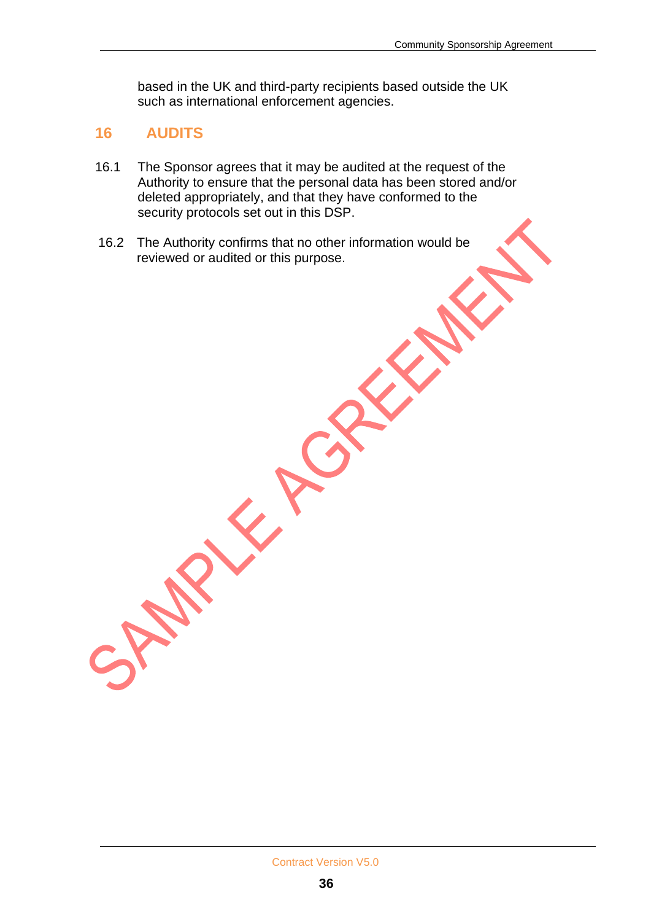based in the UK and third-party recipients based outside the UK such as international enforcement agencies.

### **16 AUDITS**

- 16.1 The Sponsor agrees that it may be audited at the request of the Authority to ensure that the personal data has been stored and/or deleted appropriately, and that they have conformed to the security protocols set out in this DSP.
- 16.2 The Authority confirms that no other information would be reviewed or audited or this purpose.

RIVER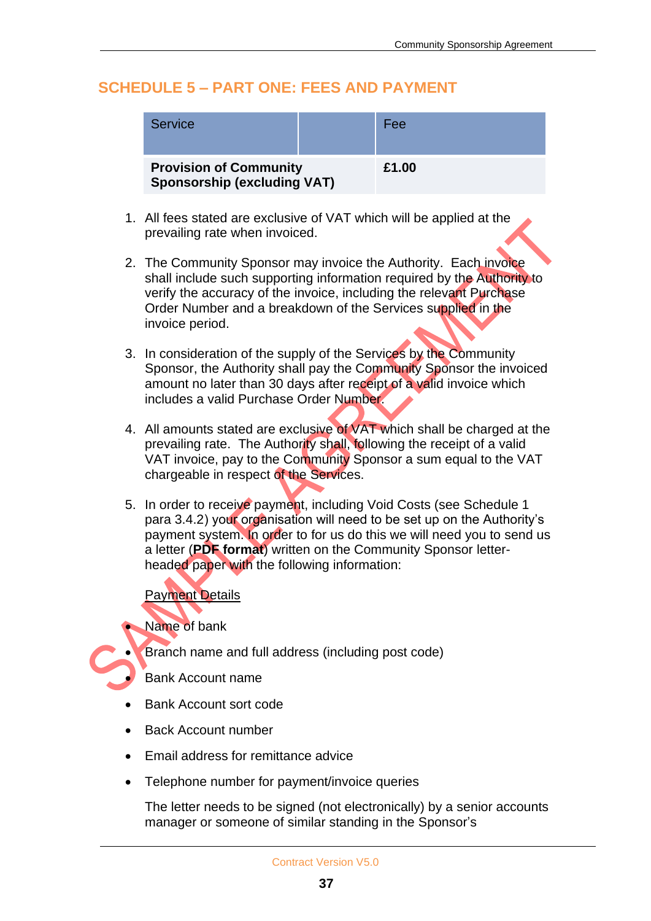## **SCHEDULE 5 – PART ONE: FEES AND PAYMENT**

| Service                                                             | Fee   |
|---------------------------------------------------------------------|-------|
| <b>Provision of Community</b><br><b>Sponsorship (excluding VAT)</b> | £1.00 |

- 1. All fees stated are exclusive of VAT which will be applied at the prevailing rate when invoiced.
- 2. The Community Sponsor may invoice the Authority. Each invoice shall include such supporting information required by the Authority to verify the accuracy of the invoice, including the relevant Purchase Order Number and a breakdown of the Services supplied in the invoice period.
- 3. In consideration of the supply of the Services by the Community Sponsor, the Authority shall pay the Community Sponsor the invoiced amount no later than 30 days after receipt of a valid invoice which includes a valid Purchase Order Number.
- 4. All amounts stated are exclusive of VAT which shall be charged at the prevailing rate. The Authority shall, following the receipt of a valid VAT invoice, pay to the Community Sponsor a sum equal to the VAT chargeable in respect of the Services.
- 5. In order to receive payment, including Void Costs (see Schedule 1 para 3.4.2) your organisation will need to be set up on the Authority's payment system. In order to for us do this we will need you to send us a letter (**PDF format**) written on the Community Sponsor letterheaded paper with the following information:

#### Payment Details

Name of bank

• Branch name and full address (including post code)

• Bank Account name

- Bank Account sort code
- Back Account number
- Email address for remittance advice
- Telephone number for payment/invoice queries

The letter needs to be signed (not electronically) by a senior accounts manager or someone of similar standing in the Sponsor's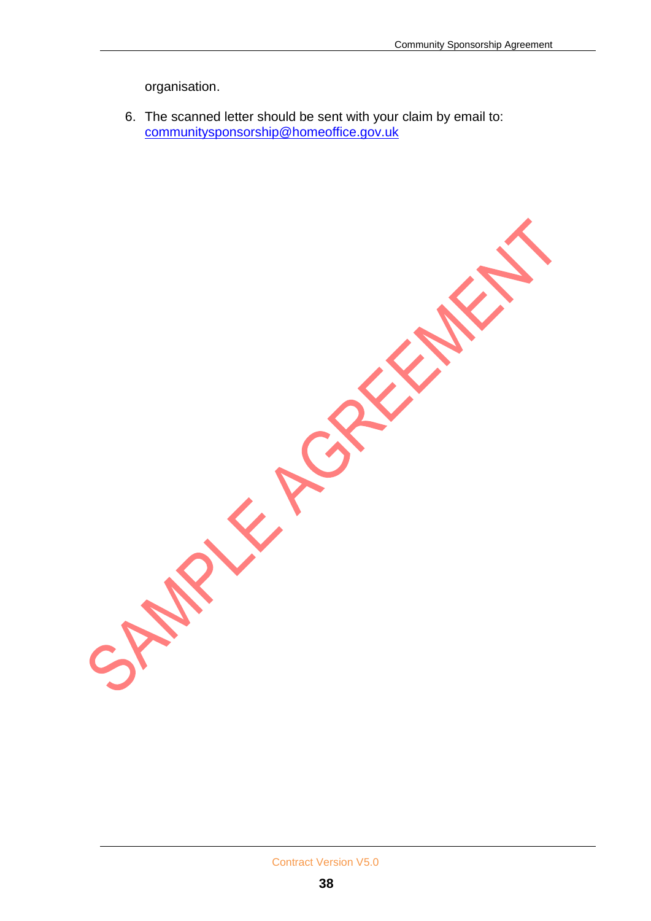**REATA** 

organisation.

6. The scanned letter should be sent with your claim by email to: [communitysponsorship@homeoffice.gov.uk](mailto:communitysponsorship@homeoffice.gov.uk)

REFERE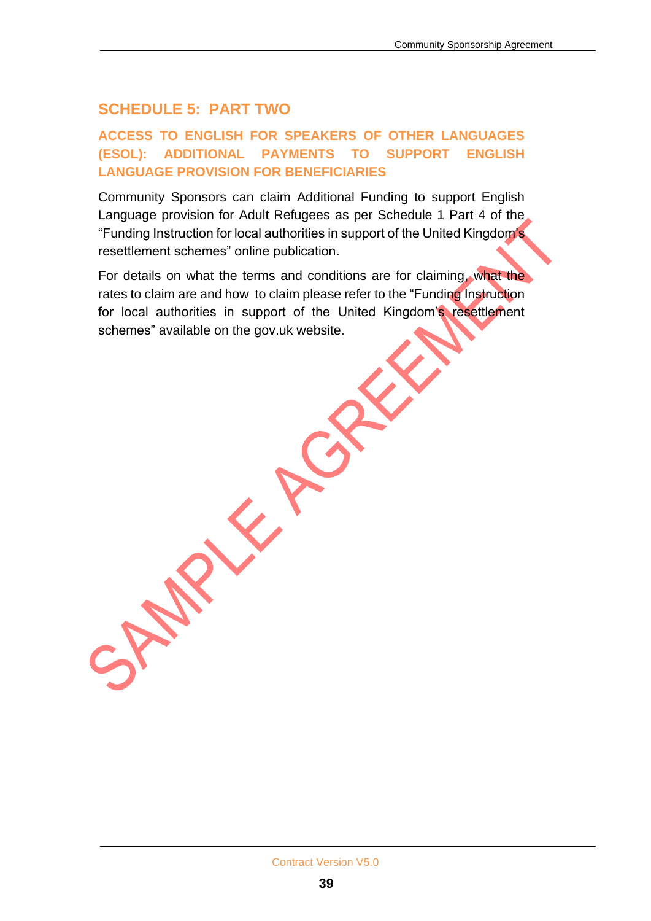## **SCHEDULE 5: PART TWO**

#### **ACCESS TO ENGLISH FOR SPEAKERS OF OTHER LANGUAGES (ESOL): ADDITIONAL PAYMENTS TO SUPPORT ENGLISH LANGUAGE PROVISION FOR BENEFICIARIES**

Community Sponsors can claim Additional Funding to support English Language provision for Adult Refugees as per Schedule 1 Part 4 of the "Funding Instruction for local authorities in support of the United Kingdom's resettlement schemes" online publication.

For details on what the terms and conditions are for claiming, what the rates to claim are and how to claim please refer to the "Funding Instruction for local authorities in support of the United Kingdom's resettlement schemes" available on the gov.uk website.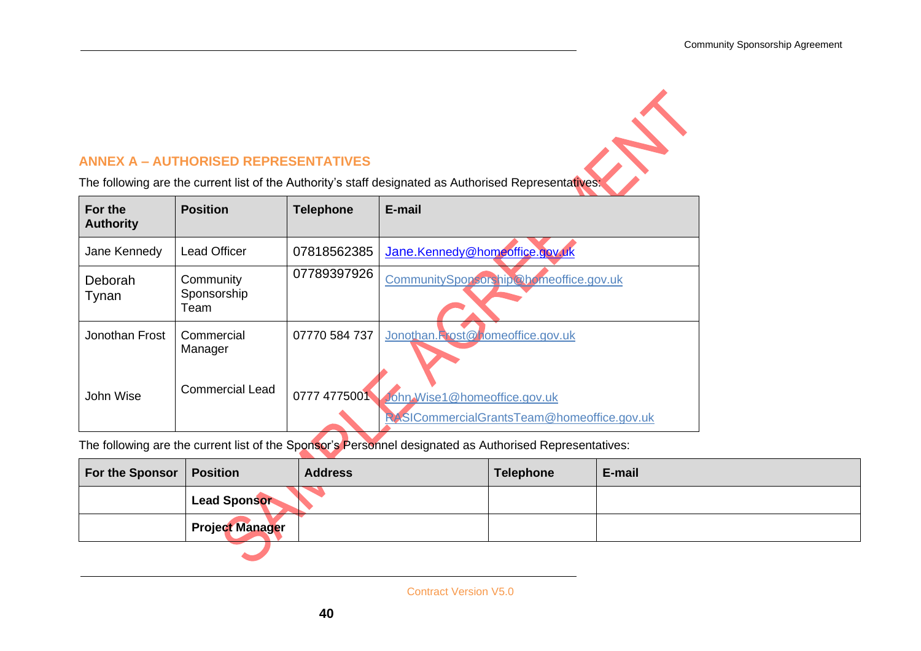#### **ANNEX A – AUTHORISED REPRESENTATIVES**

ANNEX A – AUTHORISED REPRESENTATIVES<br>The following are the current list of the Authority's staff designated as Authorised Representatives:

| For the<br><b>Authority</b> | <b>Position</b>                  | <b>Telephone</b> | E-mail                                                                     |
|-----------------------------|----------------------------------|------------------|----------------------------------------------------------------------------|
| Jane Kennedy                | <b>Lead Officer</b>              | 07818562385      | Jane.Kennedy@homeoffice.gov.uk                                             |
| Deborah<br>Tynan            | Community<br>Sponsorship<br>Team | 07789397926      | CommunitySponsorship@bomeoffice.gov.uk                                     |
| Jonothan Frost              | Commercial<br>Manager            | 07770 584 737    | Jonothan.Rost@homeoffice.gov.uk                                            |
| John Wise                   | <b>Commercial Lead</b>           | 0777 4775001     | John Wise1@homeoffice.gov.uk<br>RASICommercialGrantsTeam@homeoffice.gov.uk |

The following are the current list of the Sponsor's Personnel designated as Authorised Representatives:

| For the Sponsor   Position |                        | <b>Address</b> | <b>Telephone</b> | E-mail |
|----------------------------|------------------------|----------------|------------------|--------|
|                            | <b>Lead Sponsor</b>    |                |                  |        |
|                            | <b>Project Manager</b> |                |                  |        |
|                            |                        |                |                  |        |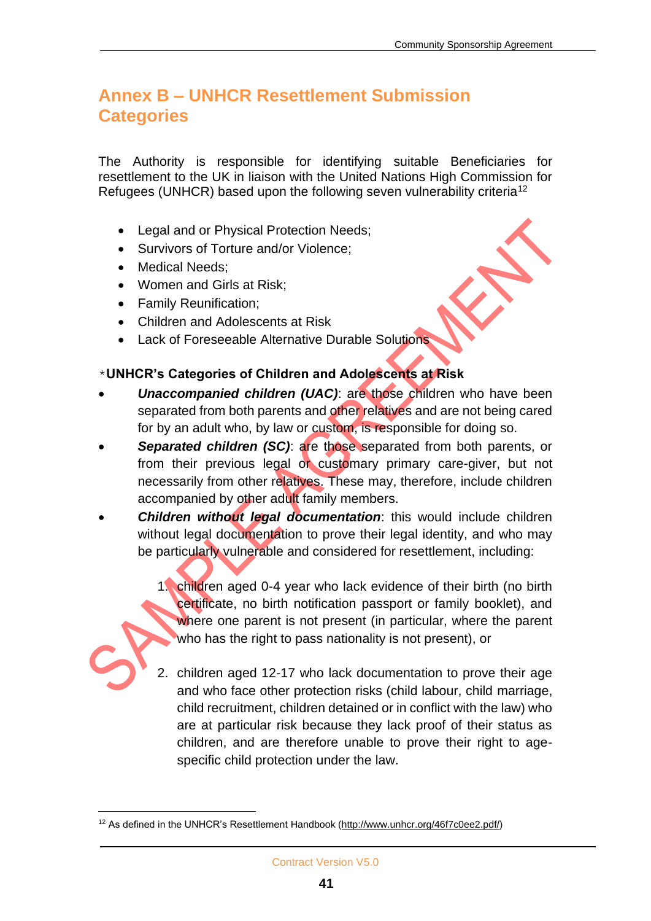## **Annex B – UNHCR Resettlement Submission Categories**

The Authority is responsible for identifying suitable Beneficiaries for resettlement to the UK in liaison with the United Nations High Commission for Refugees (UNHCR) based upon the following seven vulnerability criteria<sup>12</sup>

- Legal and or Physical Protection Needs;
- Survivors of Torture and/or Violence;
- Medical Needs;
- Women and Girls at Risk;
- Family Reunification;
- Children and Adolescents at Risk
- Lack of Foreseeable Alternative Durable Solutions

#### \***UNHCR's Categories of Children and Adolescents at Risk**

- **Unaccompanied children (UAC):** are those children who have been separated from both parents and other relatives and are not being cared for by an adult who, by law or custom, is responsible for doing so.
- **Separated children (SC): are those separated from both parents, or** from their previous legal or customary primary care-giver, but not necessarily from other relatives. These may, therefore, include children accompanied by other adult family members.
- *Children without legal documentation*: this would include children without legal documentation to prove their legal identity, and who may be particularly vulnerable and considered for resettlement, including:

1. children aged 0-4 year who lack evidence of their birth (no birth certificate, no birth notification passport or family booklet), and where one parent is not present (in particular, where the parent who has the right to pass nationality is not present), or

2. children aged 12-17 who lack documentation to prove their age and who face other protection risks (child labour, child marriage, child recruitment, children detained or in conflict with the law) who are at particular risk because they lack proof of their status as children, and are therefore unable to prove their right to agespecific child protection under the law.

<sup>12</sup> As defined in the UNHCR's Resettlement Handbook [\(http://www.unhcr.org/46f7c0ee2.pdf/\)](http://www.unhcr.org/46f7c0ee2.pdf/)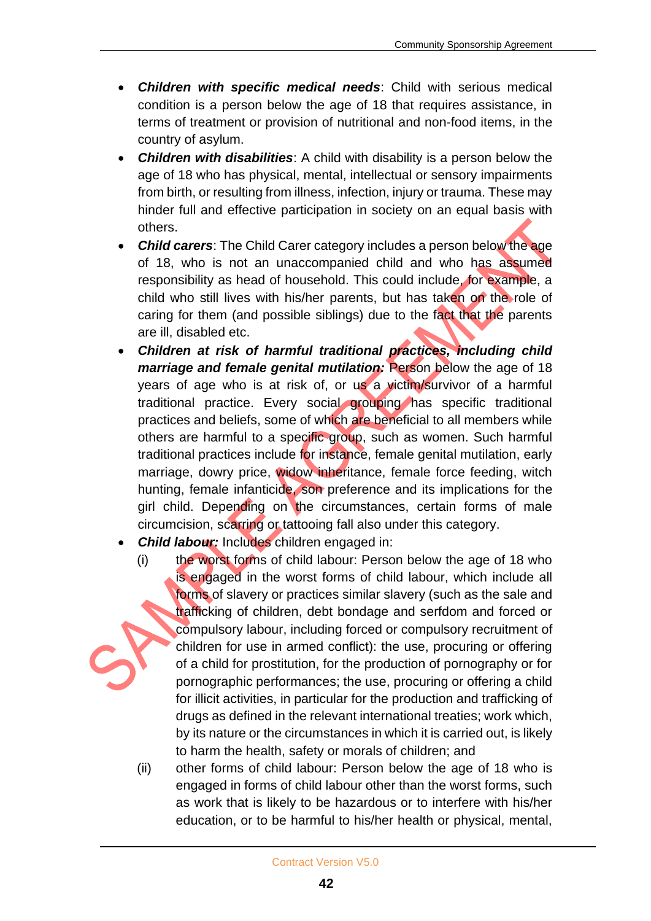- *Children with specific medical needs*: Child with serious medical condition is a person below the age of 18 that requires assistance, in terms of treatment or provision of nutritional and non-food items, in the country of asylum.
- *Children with disabilities*: A child with disability is a person below the age of 18 who has physical, mental, intellectual or sensory impairments from birth, or resulting from illness, infection, injury or trauma. These may hinder full and effective participation in society on an equal basis with others.
- *Child carers*: The Child Carer category includes a person below the age of 18, who is not an unaccompanied child and who has assumed responsibility as head of household. This could include, for example, a child who still lives with his/her parents, but has taken on the role of caring for them (and possible siblings) due to the fact that the parents are ill, disabled etc.
- *Children at risk of harmful traditional practices, including child marriage and female genital mutilation:* Person below the age of 18 years of age who is at risk of, or us a victim/survivor of a harmful traditional practice. Every social grouping has specific traditional practices and beliefs, some of which are beneficial to all members while others are harmful to a specific group, such as women. Such harmful traditional practices include for instance, female genital mutilation, early marriage, dowry price, widow inheritance, female force feeding, witch hunting, female infanticide, son preference and its implications for the girl child. Depending on the circumstances, certain forms of male circumcision, scarring or tattooing fall also under this category.
- **Child labour:** Includes children engaged in:
	- (i) the worst forms of child labour: Person below the age of 18 who is engaged in the worst forms of child labour, which include all forms of slavery or practices similar slavery (such as the sale and trafficking of children, debt bondage and serfdom and forced or compulsory labour, including forced or compulsory recruitment of children for use in armed conflict): the use, procuring or offering of a child for prostitution, for the production of pornography or for pornographic performances; the use, procuring or offering a child for illicit activities, in particular for the production and trafficking of drugs as defined in the relevant international treaties; work which, by its nature or the circumstances in which it is carried out, is likely to harm the health, safety or morals of children; and
	- (ii) other forms of child labour: Person below the age of 18 who is engaged in forms of child labour other than the worst forms, such as work that is likely to be hazardous or to interfere with his/her education, or to be harmful to his/her health or physical, mental,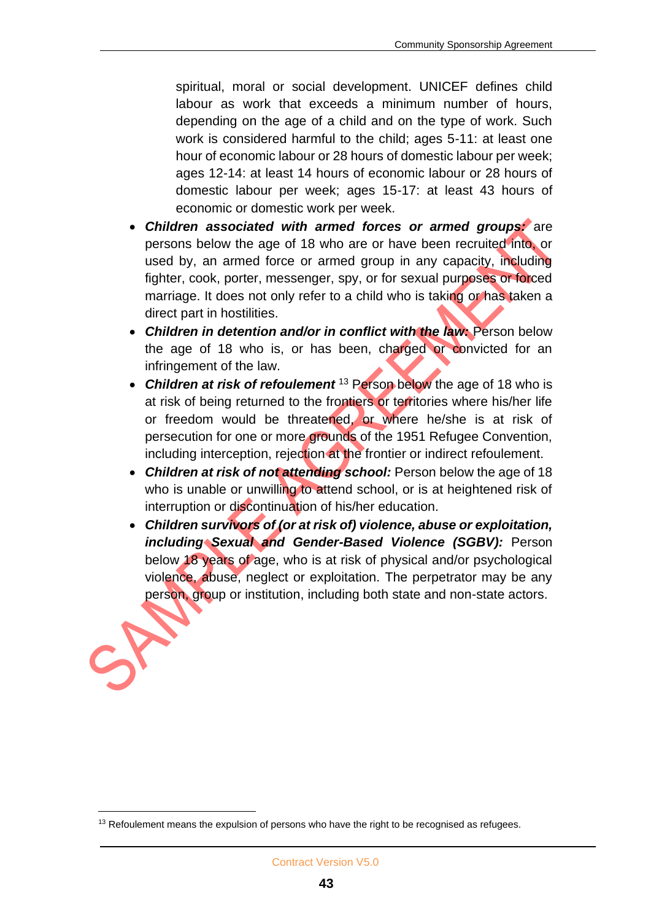spiritual, moral or social development. UNICEF defines child labour as work that exceeds a minimum number of hours, depending on the age of a child and on the type of work. Such work is considered harmful to the child; ages 5-11: at least one hour of economic labour or 28 hours of domestic labour per week; ages 12-14: at least 14 hours of economic labour or 28 hours of domestic labour per week; ages 15-17: at least 43 hours of economic or domestic work per week.

- *Children associated with armed forces or armed groups:* are persons below the age of 18 who are or have been recruited into, or used by, an armed force or armed group in any capacity, including fighter, cook, porter, messenger, spy, or for sexual purposes or forced marriage. It does not only refer to a child who is taking or has taken a direct part in hostilities.
- *Children in detention and/or in conflict with the law:* Person below the age of 18 who is, or has been, charged or convicted for an infringement of the law.
- *Children at risk of refoulement* <sup>13</sup> Person below the age of 18 who is at risk of being returned to the frontiers or territories where his/her life or freedom would be threatened, or where he/she is at risk of persecution for one or more grounds of the 1951 Refugee Convention, including interception, rejection at the frontier or indirect refoulement.
- **Children at risk of not attending school:** Person below the age of 18 who is unable or unwilling to attend school, or is at heightened risk of interruption or discontinuation of his/her education.
- *Children survivors of (or at risk of) violence, abuse or exploitation, including Sexual and Gender-Based Violence (SGBV):* Person below 18 years of age, who is at risk of physical and/or psychological violence, abuse, neglect or exploitation. The perpetrator may be any person, group or institution, including both state and non-state actors.

 $13$  Refoulement means the expulsion of persons who have the right to be recognised as refugees.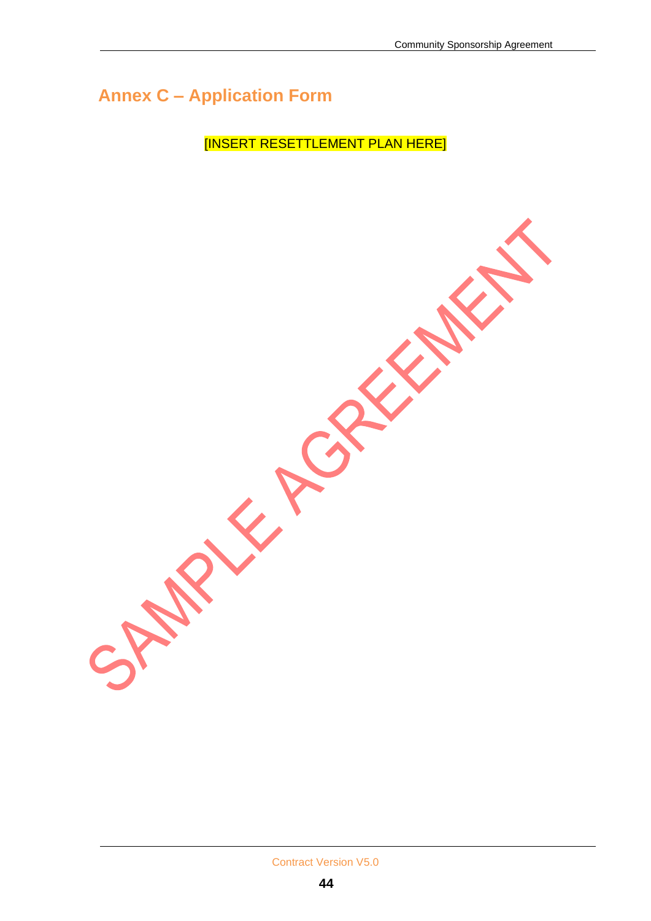**STANDARY** 

## **Annex C – Application Form**

[INSERT RESETTLEMENT PLAN HERE]

ERE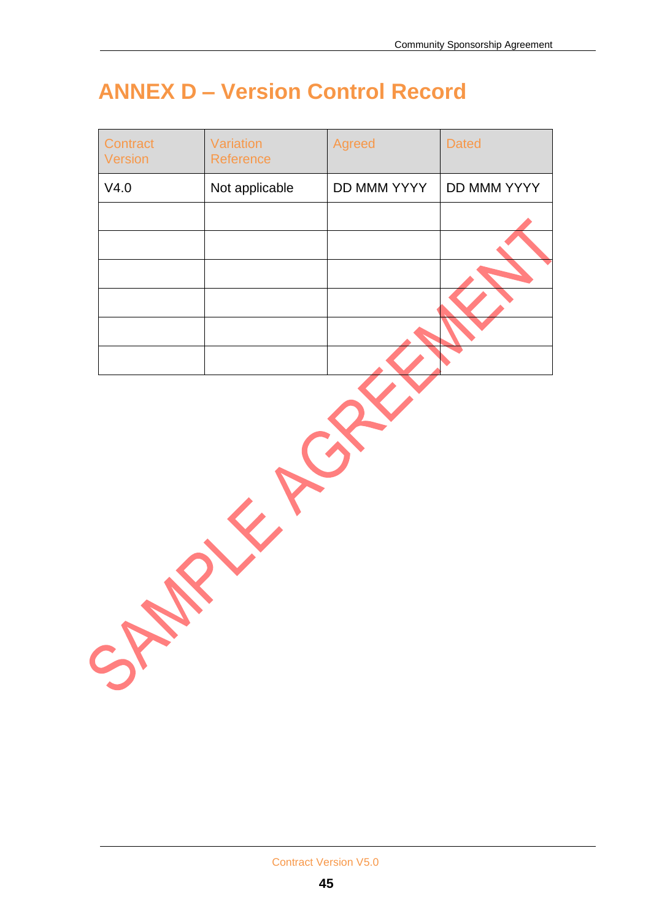# **ANNEX D – Version Control Record**

| Contract<br>Version | Variation<br>Reference | Agreed      | <b>Dated</b> |
|---------------------|------------------------|-------------|--------------|
| V4.0                | Not applicable         | DD MMM YYYY | DD MMM YYYY  |
|                     |                        |             |              |
|                     |                        |             |              |
|                     |                        |             |              |
|                     |                        |             |              |
|                     |                        |             |              |
|                     |                        |             |              |
| SA                  |                        |             |              |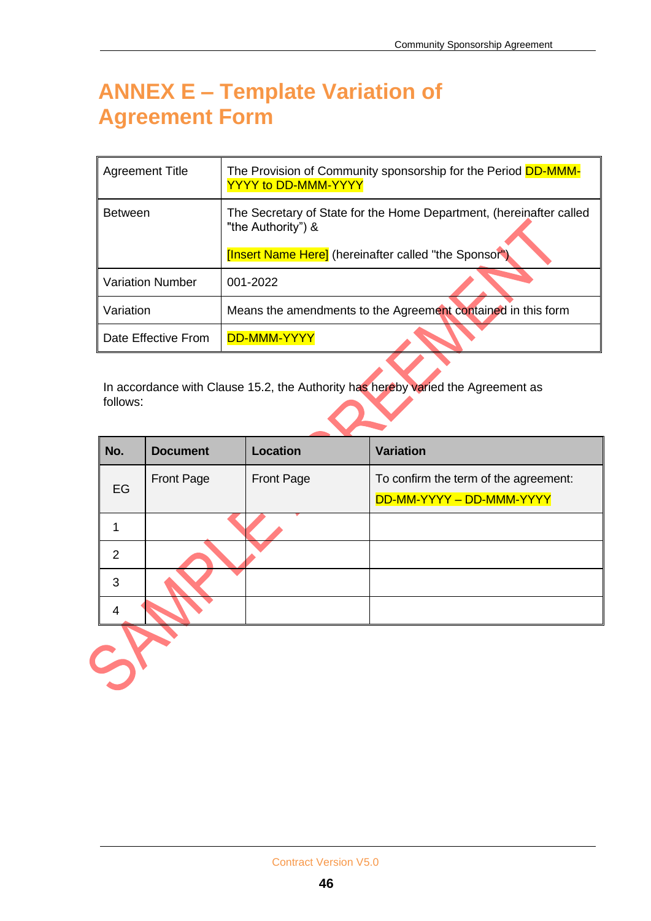# **ANNEX E – Template Variation of Agreement Form**

| Agreement Title         | The Provision of Community sponsorship for the Period DD-MMM-<br><b>YYYY to DD-MMM-YYYY</b>                                                        |
|-------------------------|----------------------------------------------------------------------------------------------------------------------------------------------------|
| <b>Between</b>          | The Secretary of State for the Home Department, (hereinafter called<br>"the Authority") &<br>[Insert Name Here] (hereinafter called "the Sponsor") |
| <b>Variation Number</b> | 001-2022                                                                                                                                           |
| Variation               | Means the amendments to the Agreement contained in this form                                                                                       |
| Date Effective From     | <b>DD-MMM-YYYY</b>                                                                                                                                 |

In accordance with Clause 15.2, the Authority has hereby varied the Agreement as follows:

| No. | <b>Document</b> | Location   | <b>Variation</b>                                                  |
|-----|-----------------|------------|-------------------------------------------------------------------|
| EG  | Front Page      | Front Page | To confirm the term of the agreement:<br>DD-MM-YYYY - DD-MMM-YYYY |
|     |                 |            |                                                                   |
| 2   |                 |            |                                                                   |
| 3   |                 |            |                                                                   |
|     |                 |            |                                                                   |